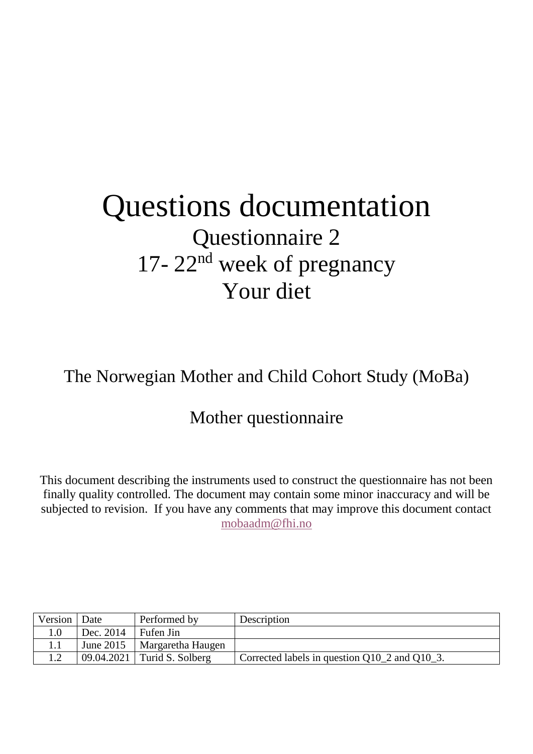# Questions documentation Questionnaire 2 17- 22<sup>nd</sup> week of pregnancy Your diet

## The Norwegian Mother and Child Cohort Study (MoBa)

## Mother questionnaire

This document describing the instruments used to construct the questionnaire has not been finally quality controlled. The document may contain some minor inaccuracy and will be subjected to revision. If you have any comments that may improve this document contact [mobaadm@fhi.no](mailto:mobaadm@fhi.no)

| Version   Date |           | Performed by                  | Description                                        |
|----------------|-----------|-------------------------------|----------------------------------------------------|
|                | Dec. 2014 | Fufen Jin                     |                                                    |
| 1.1            | June 2015 | Margaretha Haugen             |                                                    |
|                |           | $09.04.2021$ Turid S. Solberg | Corrected labels in question $Q10_2$ and $Q10_3$ . |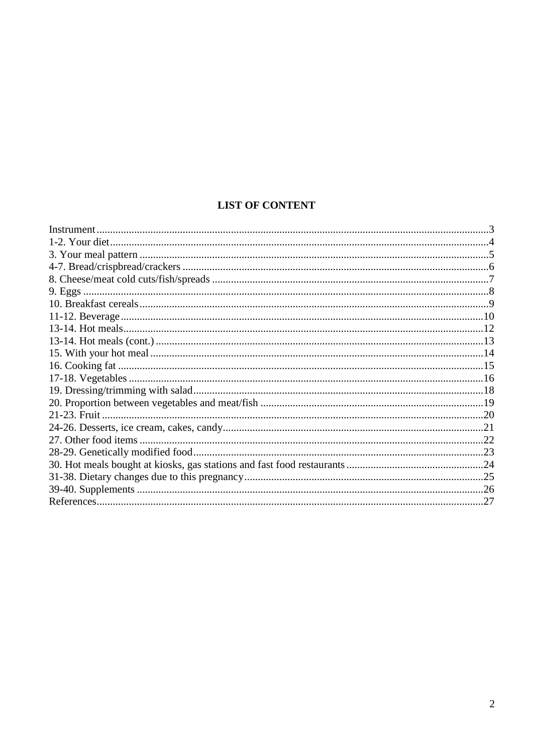### **LIST OF CONTENT**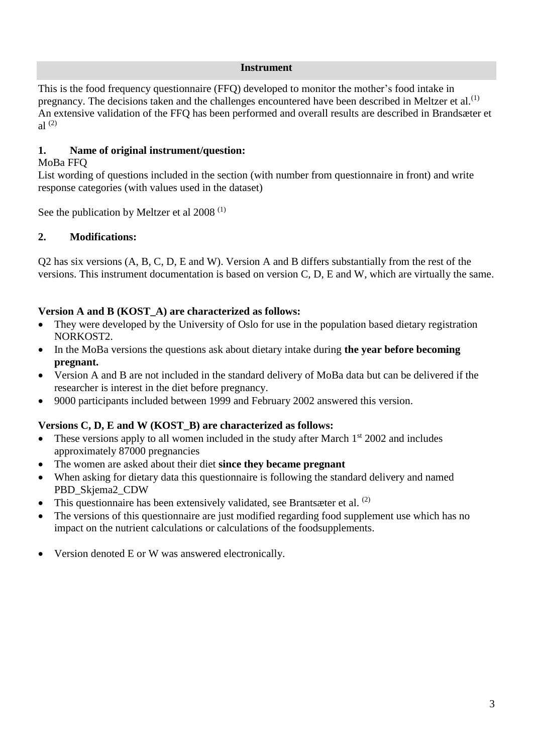#### **Instrument**

<span id="page-2-0"></span>This is the food frequency questionnaire (FFQ) developed to monitor the mother's food intake in pregnancy. The decisions taken and the challenges encountered have been described in Meltzer et al.<sup>[\(1\)](#page-26-1)</sup> An extensive validation of the FFQ has been performed and overall results are described in Brandsæter et al [\(2\)](#page-26-2)

#### **1. Name of original instrument/question:**

#### MoBa FFQ

List wording of questions included in the section (with number from questionnaire in front) and write response categories (with values used in the dataset)

See the publication by Meltzer et al 2008<sup>[\(1\)](#page-26-1)</sup>

#### **2. Modifications:**

Q2 has six versions (A, B, C, D, E and W). Version A and B differs substantially from the rest of the versions. This instrument documentation is based on version C, D, E and W, which are virtually the same.

#### **Version A and B (KOST\_A) are characterized as follows:**

- They were developed by the University of Oslo for use in the population based dietary registration NORKOST2.
- In the MoBa versions the questions ask about dietary intake during **the year before becoming pregnant.**
- Version A and B are not included in the standard delivery of MoBa data but can be delivered if the researcher is interest in the diet before pregnancy.
- 9000 participants included between 1999 and February 2002 answered this version.

#### **Versions C, D, E and W (KOST\_B) are characterized as follows:**

- These versions apply to all women included in the study after March  $1<sup>st</sup>$  2002 and includes approximately 87000 pregnancies
- The women are asked about their diet **since they became pregnant**
- When asking for dietary data this questionnaire is following the standard delivery and named PBD\_Skjema2\_CDW
- This questionnaire has been extensively validated, see Brantsæter et al.  $(2)$
- The versions of this questionnaire are just modified regarding food supplement use which has no impact on the nutrient calculations or calculations of the foodsupplements.
- Version denoted E or W was answered electronically.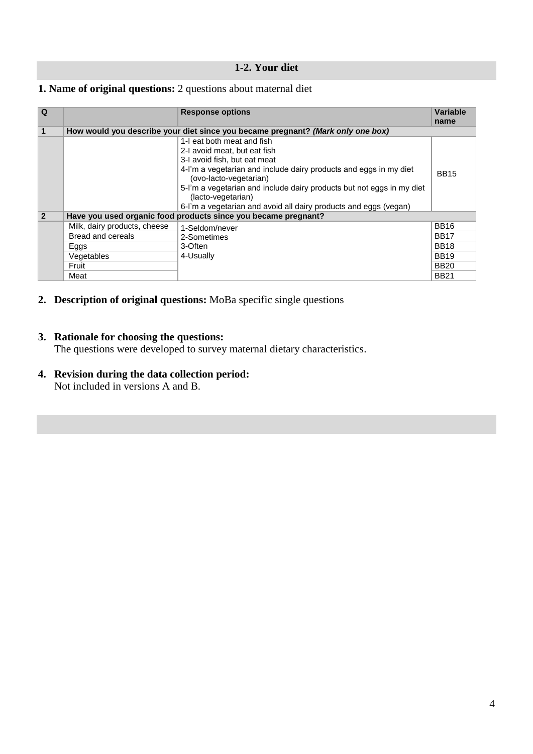#### **1-2. Your diet**

#### <span id="page-3-0"></span>**1. Name of original questions:** 2 questions about maternal diet

| Q              |                              | <b>Response options</b>                                                                     | Variable    |
|----------------|------------------------------|---------------------------------------------------------------------------------------------|-------------|
|                |                              |                                                                                             | name        |
|                |                              | How would you describe your diet since you became pregnant? (Mark only one box)             |             |
|                |                              | 1-I eat both meat and fish                                                                  |             |
|                |                              | 2-I avoid meat, but eat fish                                                                |             |
|                |                              | 3-I avoid fish, but eat meat                                                                |             |
|                |                              | 4-I'm a vegetarian and include dairy products and eggs in my diet<br>(ovo-lacto-vegetarian) | <b>BB15</b> |
|                |                              | 5-I'm a vegetarian and include dairy products but not eggs in my diet<br>(lacto-vegetarian) |             |
|                |                              | 6-I'm a vegetarian and avoid all dairy products and eggs (vegan)                            |             |
| $\overline{2}$ |                              | Have you used organic food products since you became pregnant?                              |             |
|                | Milk, dairy products, cheese | 1-Seldom/never                                                                              | <b>BB16</b> |
|                | Bread and cereals            | 2-Sometimes                                                                                 | <b>BB17</b> |
|                | Eggs                         | 3-Often                                                                                     | <b>BB18</b> |
|                | Vegetables                   | 4-Usually                                                                                   | <b>BB19</b> |
|                | Fruit                        |                                                                                             | <b>BB20</b> |
|                | Meat                         |                                                                                             | <b>BB21</b> |

**2. Description of original questions:** MoBa specific single questions

#### **3. Rationale for choosing the questions:**

The questions were developed to survey maternal dietary characteristics.

#### **4. Revision during the data collection period:**

Not included in versions A and B.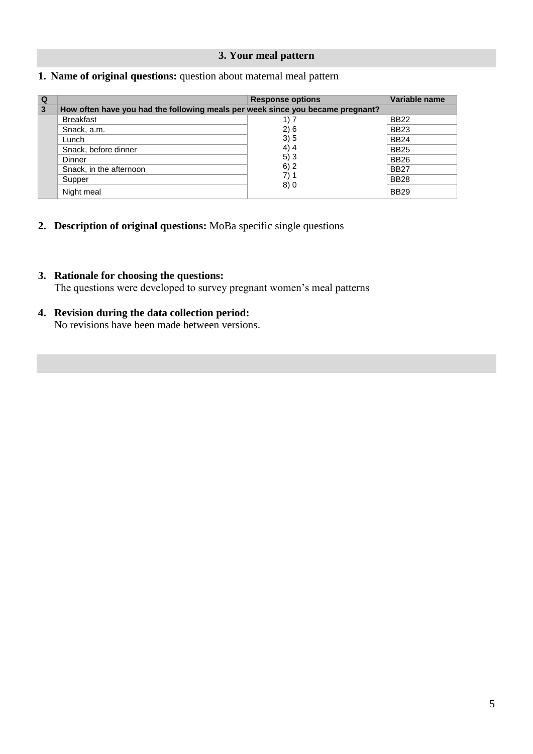#### **3. Your meal pattern**

#### <span id="page-4-0"></span>**1. Name of original questions:** question about maternal meal pattern

| Q |                                                                                | <b>Response options</b> | Variable name |
|---|--------------------------------------------------------------------------------|-------------------------|---------------|
| 3 | How often have you had the following meals per week since you became pregnant? |                         |               |
|   | <b>Breakfast</b>                                                               | 1) 7                    | <b>BB22</b>   |
|   | Snack, a.m.                                                                    | 2)6                     | <b>BB23</b>   |
|   | Lunch                                                                          | 3)5                     | <b>BB24</b>   |
|   | Snack, before dinner                                                           | 4)4                     | <b>BB25</b>   |
|   | Dinner                                                                         | 5)3                     | <b>BB26</b>   |
|   | Snack, in the afternoon                                                        | 6)2                     | <b>BB27</b>   |
|   | Supper                                                                         | 7)1                     | <b>BB28</b>   |
|   | Night meal                                                                     | 8)0                     | <b>BB29</b>   |

- **2. Description of original questions:** MoBa specific single questions
- **3. Rationale for choosing the questions:** The questions were developed to survey pregnant women's meal patterns
- **4. Revision during the data collection period:** No revisions have been made between versions.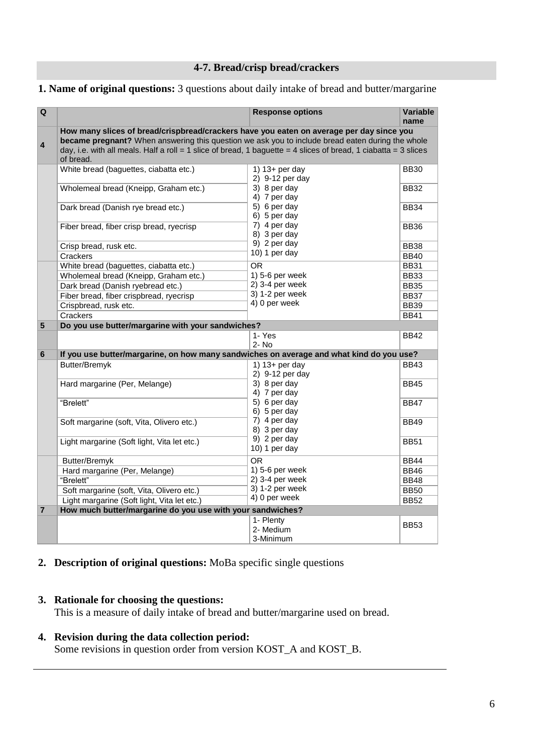### **4-7. Bread/crisp bread/crackers**

#### <span id="page-5-0"></span>**1. Name of original questions:** 3 questions about daily intake of bread and butter/margarine

| Q                       |                                                                                                                                                                                                                                                                                                                              | <b>Response options</b>                                             | <b>Variable</b>            |
|-------------------------|------------------------------------------------------------------------------------------------------------------------------------------------------------------------------------------------------------------------------------------------------------------------------------------------------------------------------|---------------------------------------------------------------------|----------------------------|
|                         |                                                                                                                                                                                                                                                                                                                              |                                                                     | name                       |
| $\overline{\mathbf{4}}$ | How many slices of bread/crispbread/crackers have you eaten on average per day since you<br>became pregnant? When answering this question we ask you to include bread eaten during the whole<br>day, i.e. with all meals. Half a roll = 1 slice of bread, 1 baguette = 4 slices of bread, 1 ciabatta = 3 slices<br>of bread. |                                                                     |                            |
|                         | White bread (baguettes, ciabatta etc.)<br>Wholemeal bread (Kneipp, Graham etc.)                                                                                                                                                                                                                                              | 1) $13+$ per day<br>2) 9-12 per day<br>3) 8 per day<br>4) 7 per day | <b>BB30</b><br><b>BB32</b> |
|                         | Dark bread (Danish rye bread etc.)                                                                                                                                                                                                                                                                                           | 5) 6 per day<br>6) 5 per day                                        | <b>BB34</b>                |
|                         | Fiber bread, fiber crisp bread, ryecrisp                                                                                                                                                                                                                                                                                     | 7) 4 per day<br>8) 3 per day<br>9) 2 per day                        | <b>BB36</b>                |
|                         | Crisp bread, rusk etc.                                                                                                                                                                                                                                                                                                       | 10) 1 per day                                                       | <b>BB38</b>                |
|                         | Crackers                                                                                                                                                                                                                                                                                                                     |                                                                     | <b>BB40</b>                |
|                         | White bread (baguettes, ciabatta etc.)                                                                                                                                                                                                                                                                                       | <b>OR</b><br>1) 5-6 per week                                        | <b>BB31</b>                |
|                         | Wholemeal bread (Kneipp, Graham etc.)                                                                                                                                                                                                                                                                                        | $2)$ 3-4 per week                                                   | <b>BB33</b><br><b>BB35</b> |
|                         | Dark bread (Danish ryebread etc.)<br>Fiber bread, fiber crispbread, ryecrisp                                                                                                                                                                                                                                                 | 3) 1-2 per week                                                     | <b>BB37</b>                |
|                         | Crispbread, rusk etc.                                                                                                                                                                                                                                                                                                        | 4) 0 per week                                                       | <b>BB39</b>                |
|                         | Crackers                                                                                                                                                                                                                                                                                                                     |                                                                     | <b>BB41</b>                |
| 5                       | Do you use butter/margarine with your sandwiches?                                                                                                                                                                                                                                                                            |                                                                     |                            |
|                         |                                                                                                                                                                                                                                                                                                                              | 1- Yes                                                              | <b>BB42</b>                |
|                         |                                                                                                                                                                                                                                                                                                                              | $2 - No$                                                            |                            |
| 6                       | If you use butter/margarine, on how many sandwiches on average and what kind do you use?                                                                                                                                                                                                                                     |                                                                     |                            |
|                         | Butter/Bremyk                                                                                                                                                                                                                                                                                                                | 1) $13+$ per day<br>2) 9-12 per day                                 | <b>BB43</b>                |
|                         | Hard margarine (Per, Melange)                                                                                                                                                                                                                                                                                                | 3) 8 per day<br>4) 7 per day                                        | <b>BB45</b>                |
|                         | "Brelett"                                                                                                                                                                                                                                                                                                                    | 5) 6 per day<br>6) 5 per day                                        | <b>BB47</b>                |
|                         | Soft margarine (soft, Vita, Olivero etc.)                                                                                                                                                                                                                                                                                    | 7) 4 per day<br>8) 3 per day                                        | <b>BB49</b>                |
|                         | Light margarine (Soft light, Vita let etc.)                                                                                                                                                                                                                                                                                  | 9) 2 per day<br>10) 1 per day                                       | <b>BB51</b>                |
|                         | Butter/Bremyk                                                                                                                                                                                                                                                                                                                | OR.                                                                 | <b>BB44</b>                |
|                         | Hard margarine (Per, Melange)                                                                                                                                                                                                                                                                                                | 1) 5-6 per week                                                     | <b>BB46</b>                |
|                         | "Brelett"                                                                                                                                                                                                                                                                                                                    | $2)$ 3-4 per week                                                   | <b>BB48</b>                |
|                         | Soft margarine (soft, Vita, Olivero etc.)                                                                                                                                                                                                                                                                                    | 3) 1-2 per week                                                     | <b>BB50</b>                |
|                         | Light margarine (Soft light, Vita let etc.)                                                                                                                                                                                                                                                                                  | 4) 0 per week                                                       | <b>BB52</b>                |
| $\overline{7}$          | How much butter/margarine do you use with your sandwiches?                                                                                                                                                                                                                                                                   |                                                                     |                            |
|                         |                                                                                                                                                                                                                                                                                                                              | 1- Plenty<br>2- Medium<br>3-Minimum                                 | <b>BB53</b>                |

#### **2. Description of original questions:** MoBa specific single questions

#### **3. Rationale for choosing the questions:**

This is a measure of daily intake of bread and butter/margarine used on bread.

#### **4. Revision during the data collection period:**

Some revisions in question order from version KOST\_A and KOST\_B.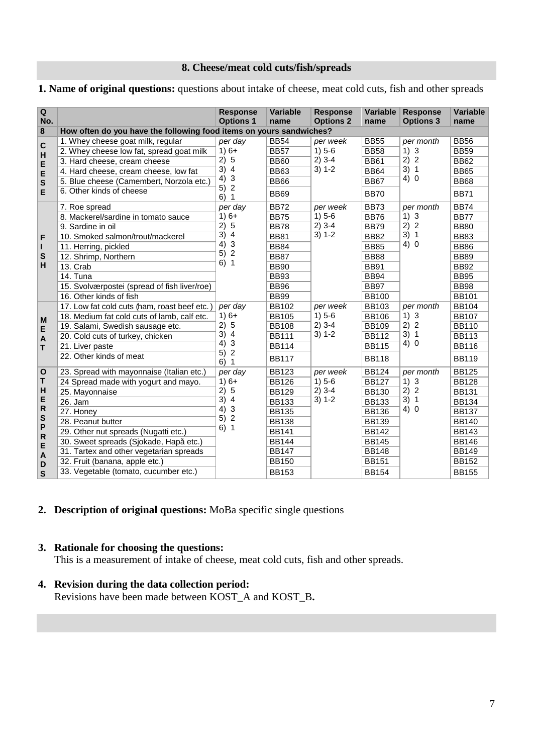#### **8. Cheese/meat cold cuts/fish/spreads**

#### <span id="page-6-0"></span>**1. Name of original questions:** questions about intake of cheese, meat cold cuts, fish and other spreads

|                                                                                                                                                                                                           |                                                                     | <b>Response</b>                            | <b>Variable</b> | <b>Response</b>  | Variable     |                                                                                                                                                                                                        | Variable     |
|-----------------------------------------------------------------------------------------------------------------------------------------------------------------------------------------------------------|---------------------------------------------------------------------|--------------------------------------------|-----------------|------------------|--------------|--------------------------------------------------------------------------------------------------------------------------------------------------------------------------------------------------------|--------------|
|                                                                                                                                                                                                           |                                                                     | <b>Options 1</b>                           | name            | <b>Options 2</b> | name         |                                                                                                                                                                                                        | name         |
|                                                                                                                                                                                                           | How often do you have the following food items on yours sandwiches? |                                            |                 |                  |              |                                                                                                                                                                                                        |              |
|                                                                                                                                                                                                           | 1. Whey cheese goat milk, regular                                   | per day                                    | <b>BB54</b>     | per week         | <b>BB55</b>  | per month                                                                                                                                                                                              | <b>BB56</b>  |
| Q<br>No.<br>8<br>$\mathbf c$<br>H<br>E<br>E<br>${\bf s}$<br>E<br>F<br>г<br>S<br>н<br>M<br>E<br>$\mathsf{A}$<br>T<br>$\mathbf{o}$<br>Τ<br>H<br>E<br>$\mathsf R$<br>${\bf s}$<br>P<br>$\mathsf R$<br>E<br>A | 2. Whey cheese low fat, spread goat milk                            | $1)6+$                                     | <b>BB57</b>     | $1) 5-6$         | <b>BB58</b>  | $1)$ 3                                                                                                                                                                                                 | <b>BB59</b>  |
|                                                                                                                                                                                                           | 3. Hard cheese, cream cheese                                        | 2) 5                                       | <b>BB60</b>     | $2)$ 3-4         | <b>BB61</b>  | <b>Response</b><br><b>Options 3</b><br>2) 2<br>3) 1<br>4)0<br>per month<br>$1)$ 3<br>2) 2<br>3) 1<br>4) 0<br>per month<br>$1)$ 3<br>2) 2<br>3) 1<br>4) 0<br>per month<br>$1)$ 3<br>2) 2<br>3) 1<br>4)0 | <b>BB62</b>  |
|                                                                                                                                                                                                           | 4. Hard cheese, cream cheese, low fat                               | 3)<br>$\overline{4}$                       | <b>BB63</b>     | $3) 1 - 2$       | <b>BB64</b>  |                                                                                                                                                                                                        | <b>BB65</b>  |
|                                                                                                                                                                                                           | 5. Blue cheese (Camembert, Norzola etc.)                            | $\mathbf{3}$<br>4)                         | <b>BB66</b>     |                  | <b>BB67</b>  |                                                                                                                                                                                                        | <b>BB68</b>  |
|                                                                                                                                                                                                           | 6. Other kinds of cheese                                            | $\overline{c}$<br>5)<br>$\mathbf{1}$<br>6) | <b>BB69</b>     |                  | <b>BB70</b>  |                                                                                                                                                                                                        | <b>BB71</b>  |
|                                                                                                                                                                                                           | 7. Roe spread                                                       | per day                                    | <b>BB72</b>     | per week         | <b>BB73</b>  |                                                                                                                                                                                                        | <b>BB74</b>  |
|                                                                                                                                                                                                           | 8. Mackerel/sardine in tomato sauce                                 | $1)6+$                                     | <b>BB75</b>     | $1) 5-6$         | <b>BB76</b>  |                                                                                                                                                                                                        | <b>BB77</b>  |
|                                                                                                                                                                                                           | 9. Sardine in oil                                                   | 2) 5                                       | <b>BB78</b>     | $2)$ 3-4         | <b>BB79</b>  |                                                                                                                                                                                                        | <b>BB80</b>  |
|                                                                                                                                                                                                           | 10. Smoked salmon/trout/mackerel                                    | 3)<br>$\overline{4}$                       | <b>BB81</b>     | $3) 1-2$         | <b>BB82</b>  |                                                                                                                                                                                                        | <b>BB83</b>  |
|                                                                                                                                                                                                           | 11. Herring, pickled                                                | $\mathbf{3}$<br>4)                         | <b>BB84</b>     |                  | <b>BB85</b>  |                                                                                                                                                                                                        | <b>BB86</b>  |
|                                                                                                                                                                                                           | 12. Shrimp, Northern                                                | $\overline{c}$<br>5)<br>6)1                | <b>BB87</b>     |                  | <b>BB88</b>  |                                                                                                                                                                                                        | <b>BB89</b>  |
|                                                                                                                                                                                                           | 13. Crab                                                            |                                            | <b>BB90</b>     |                  | <b>BB91</b>  |                                                                                                                                                                                                        | <b>BB92</b>  |
|                                                                                                                                                                                                           | 14. Tuna                                                            |                                            | <b>BB93</b>     |                  | <b>BB94</b>  |                                                                                                                                                                                                        | <b>BB95</b>  |
|                                                                                                                                                                                                           | 15. Svolværpostei (spread of fish liver/roe)                        |                                            | <b>BB96</b>     |                  | <b>BB97</b>  |                                                                                                                                                                                                        | <b>BB98</b>  |
|                                                                                                                                                                                                           | 16. Other kinds of fish                                             |                                            | <b>BB99</b>     |                  | <b>BB100</b> |                                                                                                                                                                                                        | <b>BB101</b> |
|                                                                                                                                                                                                           | 17. Low fat cold cuts (ham, roast beef etc.)                        | per day                                    | <b>BB102</b>    | per week         | <b>BB103</b> |                                                                                                                                                                                                        | <b>BB104</b> |
|                                                                                                                                                                                                           | 18. Medium fat cold cuts of lamb, calf etc.                         | $1)6+$                                     | <b>BB105</b>    | $1) 5-6$         | <b>BB106</b> |                                                                                                                                                                                                        | <b>BB107</b> |
|                                                                                                                                                                                                           | 19. Salami, Swedish sausage etc.                                    | 2)<br>5                                    | <b>BB108</b>    | $2)$ 3-4         | <b>BB109</b> |                                                                                                                                                                                                        | <b>BB110</b> |
|                                                                                                                                                                                                           | 20. Cold cuts of turkey, chicken                                    | 3)<br>$\overline{4}$<br>$\mathbf{3}$       | <b>BB111</b>    | $3) 1 - 2$       | <b>BB112</b> |                                                                                                                                                                                                        | <b>BB113</b> |
|                                                                                                                                                                                                           | 21. Liver paste                                                     | 4)<br>5)2                                  | <b>BB114</b>    |                  | <b>BB115</b> |                                                                                                                                                                                                        | <b>BB116</b> |
|                                                                                                                                                                                                           | 22. Other kinds of meat                                             | 6)1                                        | <b>BB117</b>    |                  | <b>BB118</b> |                                                                                                                                                                                                        | <b>BB119</b> |
|                                                                                                                                                                                                           | 23. Spread with mayonnaise (Italian etc.)                           | per day                                    | <b>BB123</b>    | per week         | <b>BB124</b> |                                                                                                                                                                                                        | <b>BB125</b> |
|                                                                                                                                                                                                           | 24 Spread made with yogurt and mayo.                                | $1)6+$                                     | <b>BB126</b>    | $1) 5-6$         | <b>BB127</b> |                                                                                                                                                                                                        | <b>BB128</b> |
|                                                                                                                                                                                                           | 25. Mayonnaise                                                      | 5<br>2)                                    | <b>BB129</b>    | $2)$ 3-4         | <b>BB130</b> |                                                                                                                                                                                                        | <b>BB131</b> |
|                                                                                                                                                                                                           | 26. Jam                                                             | 3)<br>$\overline{4}$                       | <b>BB133</b>    | $3) 1 - 2$       | <b>BB133</b> |                                                                                                                                                                                                        | <b>BB134</b> |
|                                                                                                                                                                                                           | 27. Honey                                                           | $\mathbf{3}$<br>4)<br>$\overline{c}$<br>5) | <b>BB135</b>    |                  | <b>BB136</b> |                                                                                                                                                                                                        | <b>BB137</b> |
|                                                                                                                                                                                                           | 28. Peanut butter                                                   | 6)1                                        | <b>BB138</b>    |                  | <b>BB139</b> |                                                                                                                                                                                                        | <b>BB140</b> |
|                                                                                                                                                                                                           | 29. Other nut spreads (Nugatti etc.)                                |                                            | <b>BB141</b>    |                  | <b>BB142</b> |                                                                                                                                                                                                        | <b>BB143</b> |
|                                                                                                                                                                                                           | 30. Sweet spreads (Sjokade, Hapå etc.)                              |                                            | <b>BB144</b>    |                  | <b>BB145</b> |                                                                                                                                                                                                        | <b>BB146</b> |
|                                                                                                                                                                                                           | 31. Tartex and other vegetarian spreads                             |                                            | <b>BB147</b>    |                  | <b>BB148</b> |                                                                                                                                                                                                        | <b>BB149</b> |
| D                                                                                                                                                                                                         | 32. Fruit (banana, apple etc.)                                      |                                            | <b>BB150</b>    |                  | <b>BB151</b> |                                                                                                                                                                                                        | <b>BB152</b> |
| $\mathbf{s}$                                                                                                                                                                                              | 33. Vegetable (tomato, cucumber etc.)                               |                                            | <b>BB153</b>    |                  | <b>BB154</b> |                                                                                                                                                                                                        | <b>BB155</b> |

#### **2. Description of original questions:** MoBa specific single questions

#### **3. Rationale for choosing the questions:**

This is a measurement of intake of cheese, meat cold cuts, fish and other spreads.

#### **4. Revision during the data collection period:**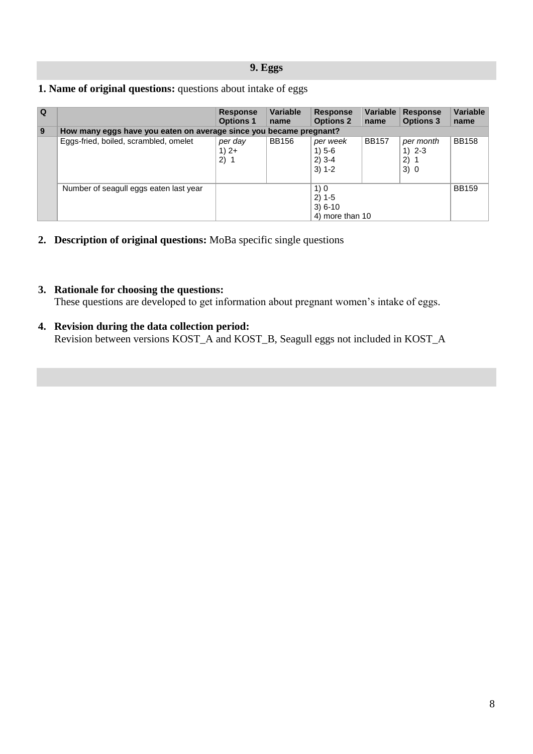#### **9. Eggs**

<span id="page-7-0"></span>

|  | 1. Name of original questions: questions about intake of eggs |
|--|---------------------------------------------------------------|
|--|---------------------------------------------------------------|

| $\Omega$ |                                                                    | <b>Response</b><br><b>Options 1</b> | <b>Variable</b><br>name | <b>Response</b><br><b>Options 2</b>              | name         | Variable Response<br><b>Options 3</b> | <b>Variable</b><br>name |
|----------|--------------------------------------------------------------------|-------------------------------------|-------------------------|--------------------------------------------------|--------------|---------------------------------------|-------------------------|
| 9        | How many eggs have you eaten on average since you became pregnant? |                                     |                         |                                                  |              |                                       |                         |
|          | Eggs-fried, boiled, scrambled, omelet                              | per day<br>$1)$ 2+<br>2) 1          | <b>BB156</b>            | per week<br>$1) 5 - 6$<br>$2)$ 3-4<br>$3) 1 - 2$ | <b>BB157</b> | per month<br>1) $2 - 3$<br>2)1<br>3)0 | <b>BB158</b>            |
|          | Number of seagull eggs eaten last year                             |                                     |                         | 1)0<br>$2) 1-5$<br>$3) 6-10$<br>4) more than 10  |              |                                       | <b>BB159</b>            |

**2. Description of original questions:** MoBa specific single questions

#### **3. Rationale for choosing the questions:**

These questions are developed to get information about pregnant women's intake of eggs.

**4. Revision during the data collection period:** Revision between versions KOST\_A and KOST\_B, Seagull eggs not included in KOST\_A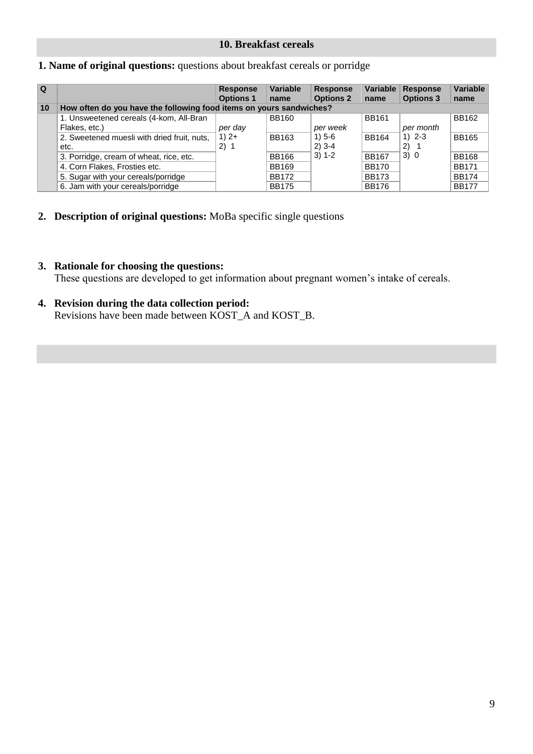#### **10. Breakfast cereals**

#### <span id="page-8-0"></span>**1. Name of original questions:** questions about breakfast cereals or porridge

| l Q |                                                                     | <b>Response</b><br><b>Options 1</b> | <b>Variable</b><br>name | <b>Response</b><br><b>Options 2</b> | Variable<br>name | <b>Response</b><br><b>Options 3</b> | Variable<br>name |
|-----|---------------------------------------------------------------------|-------------------------------------|-------------------------|-------------------------------------|------------------|-------------------------------------|------------------|
| 10  | How often do you have the following food items on yours sandwiches? |                                     |                         |                                     |                  |                                     |                  |
|     | 1. Unsweetened cereals (4-kom, All-Bran                             |                                     | <b>BB160</b>            |                                     | <b>BB161</b>     |                                     | <b>BB162</b>     |
|     | Flakes, etc.)                                                       | per day                             |                         | per week                            |                  | per month                           |                  |
|     | 2. Sweetened muesli with dried fruit, nuts,                         | $1)$ 2+                             | BB163                   | $1) 5 - 6$                          | <b>BB164</b>     | 1) $2 - 3$                          | <b>BB165</b>     |
|     | etc.                                                                | 2) 1                                |                         | $2)$ 3-4                            |                  | 2) 1                                |                  |
|     | 3. Porridge, cream of wheat, rice, etc.                             |                                     | <b>BB166</b>            | $3) 1 - 2$                          | <b>BB167</b>     | 3)0                                 | <b>BB168</b>     |
|     | 4. Corn Flakes, Frosties etc.                                       |                                     | <b>BB169</b>            |                                     | <b>BB170</b>     |                                     | <b>BB171</b>     |
|     | 5. Sugar with your cereals/porridge                                 |                                     | <b>BB172</b>            |                                     | <b>BB173</b>     |                                     | <b>BB174</b>     |
|     | 6. Jam with your cereals/porridge                                   |                                     | <b>BB175</b>            |                                     | <b>BB176</b>     |                                     | <b>BB177</b>     |

**2. Description of original questions:** MoBa specific single questions

#### **3. Rationale for choosing the questions:**

These questions are developed to get information about pregnant women's intake of cereals.

#### **4. Revision during the data collection period:**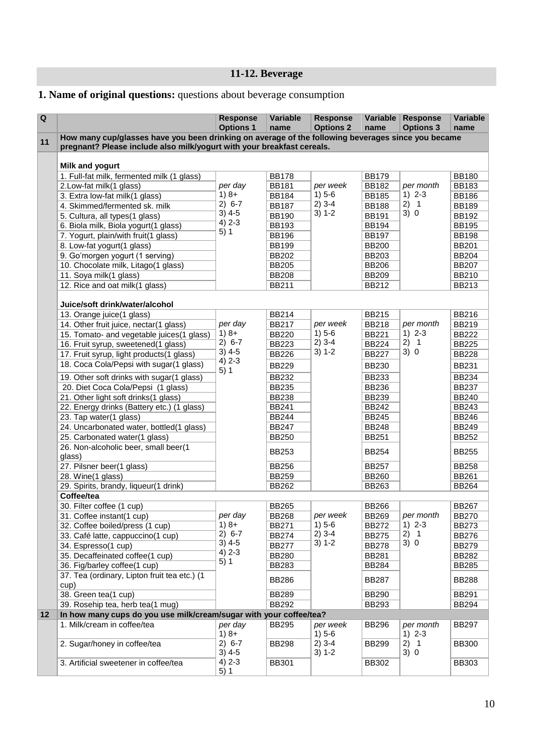## **11-12. Beverage**

## <span id="page-9-0"></span>**1. Name of original questions:** questions about beverage consumption

| $\overline{\mathbf{Q}}$ |                                                                                                    | <b>Response</b><br><b>Options 1</b> | Variable<br>name | <b>Response</b><br><b>Options 2</b> | Variable<br>name | <b>Response</b><br><b>Options 3</b> | Variable<br>name |
|-------------------------|----------------------------------------------------------------------------------------------------|-------------------------------------|------------------|-------------------------------------|------------------|-------------------------------------|------------------|
| 11                      | How many cup/glasses have you been drinking on average of the following beverages since you became |                                     |                  |                                     |                  |                                     |                  |
|                         | pregnant? Please include also milk/yogurt with your breakfast cereals.                             |                                     |                  |                                     |                  |                                     |                  |
|                         | Milk and yogurt                                                                                    |                                     |                  |                                     |                  |                                     |                  |
|                         | 1. Full-fat milk, fermented milk (1 glass)                                                         |                                     | <b>BB178</b>     |                                     | <b>BB179</b>     |                                     | <b>BB180</b>     |
|                         | 2.Low-fat milk(1 glass)                                                                            | per day                             | <b>BB181</b>     | per week<br>$1) 5-6$<br>$2)$ 3-4    | <b>BB182</b>     | per month                           | <b>BB183</b>     |
|                         | 3. Extra low-fat milk(1 glass)                                                                     | $1)8+$                              | <b>BB184</b>     |                                     | <b>BB185</b>     | $1) 2 - 3$                          | <b>BB186</b>     |
|                         | 4. Skimmed/fermented sk. milk                                                                      | $2) 6-7$                            | <b>BB187</b>     |                                     | <b>BB188</b>     | 2) 1                                | <b>BB189</b>     |
|                         | 5. Cultura, all types(1 glass)                                                                     | $3)$ 4-5                            | <b>BB190</b>     | $3) 1-2$                            | <b>BB191</b>     | 3)0                                 | <b>BB192</b>     |
|                         | 6. Biola milk, Biola yogurt(1 glass)                                                               | $4) 2 - 3$                          | <b>BB193</b>     |                                     | <b>BB194</b>     |                                     | <b>BB195</b>     |
|                         | 7. Yogurt, plain/with fruit(1 glass)                                                               | 5)1                                 | <b>BB196</b>     |                                     | <b>BB197</b>     |                                     | <b>BB198</b>     |
|                         | 8. Low-fat yogurt(1 glass)                                                                         |                                     | <b>BB199</b>     |                                     | <b>BB200</b>     |                                     | <b>BB201</b>     |
|                         | 9. Go'morgen yogurt (1 serving)                                                                    |                                     | <b>BB202</b>     |                                     | <b>BB203</b>     |                                     | <b>BB204</b>     |
|                         | 10. Chocolate milk, Litago(1 glass)                                                                |                                     | <b>BB205</b>     |                                     | <b>BB206</b>     |                                     | <b>BB207</b>     |
|                         | 11. Soya milk(1 glass)                                                                             |                                     | <b>BB208</b>     |                                     | <b>BB209</b>     |                                     | <b>BB210</b>     |
|                         | 12. Rice and oat milk(1 glass)                                                                     |                                     | <b>BB211</b>     |                                     | <b>BB212</b>     |                                     | <b>BB213</b>     |
|                         |                                                                                                    |                                     |                  |                                     |                  |                                     |                  |
|                         | Juice/soft drink/water/alcohol                                                                     |                                     |                  |                                     |                  |                                     |                  |
|                         | 13. Orange juice(1 glass)                                                                          |                                     | <b>BB214</b>     |                                     | <b>BB215</b>     |                                     | <b>BB216</b>     |
|                         | 14. Other fruit juice, nectar(1 glass)                                                             | per day                             | <b>BB217</b>     | per week                            | <b>BB218</b>     | per month                           | <b>BB219</b>     |
|                         | 15. Tomato- and vegetable juices(1 glass)                                                          | $1)8+$<br>$2) 6-7$                  | <b>BB220</b>     | $1) 5-6$                            | <b>BB221</b>     | $1) 2-3$<br>2) 1<br>3)0             | <b>BB222</b>     |
|                         | 16. Fruit syrup, sweetened(1 glass)                                                                |                                     | <b>BB223</b>     | $2)$ 3-4                            | <b>BB224</b>     |                                     | <b>BB225</b>     |
|                         | 17. Fruit syrup, light products(1 glass)                                                           | $3)$ 4-5<br>$4) 2 - 3$              | <b>BB226</b>     | $3) 1 - 2$                          | <b>BB227</b>     |                                     | <b>BB228</b>     |
|                         | 18. Coca Cola/Pepsi with sugar(1 glass)                                                            | 5)1                                 | <b>BB229</b>     |                                     | <b>BB230</b>     |                                     | <b>BB231</b>     |
|                         | 19. Other soft drinks with sugar(1 glass)                                                          |                                     | <b>BB232</b>     |                                     | <b>BB233</b>     |                                     | <b>BB234</b>     |
|                         | 20. Diet Coca Cola/Pepsi (1 glass)                                                                 |                                     | <b>BB235</b>     |                                     | <b>BB236</b>     |                                     | <b>BB237</b>     |
|                         | 21. Other light soft drinks(1 glass)                                                               |                                     | <b>BB238</b>     |                                     | <b>BB239</b>     |                                     | <b>BB240</b>     |
|                         | 22. Energy drinks (Battery etc.) (1 glass)                                                         |                                     | <b>BB241</b>     |                                     | <b>BB242</b>     |                                     | <b>BB243</b>     |
|                         | 23. Tap water(1 glass)                                                                             |                                     | <b>BB244</b>     |                                     | <b>BB245</b>     |                                     | <b>BB246</b>     |
|                         | 24. Uncarbonated water, bottled(1 glass)                                                           |                                     | <b>BB247</b>     |                                     | <b>BB248</b>     |                                     | <b>BB249</b>     |
|                         | 25. Carbonated water(1 glass)                                                                      |                                     | <b>BB250</b>     |                                     | <b>BB251</b>     |                                     | <b>BB252</b>     |
|                         | 26. Non-alcoholic beer, small beer(1<br>glass)                                                     |                                     | <b>BB253</b>     |                                     | <b>BB254</b>     |                                     | <b>BB255</b>     |
|                         | 27. Pilsner beer(1 glass)                                                                          |                                     | <b>BB256</b>     |                                     | <b>BB257</b>     |                                     | <b>BB258</b>     |
|                         | 28. Wine(1 glass)                                                                                  |                                     | <b>BB259</b>     |                                     | <b>BB260</b>     |                                     | <b>BB261</b>     |
|                         | 29. Spirits, brandy, liqueur(1 drink)                                                              |                                     | <b>BB262</b>     |                                     | <b>BB263</b>     |                                     | <b>BB264</b>     |
|                         | Coffee/tea                                                                                         |                                     |                  |                                     |                  |                                     |                  |
|                         | 30. Filter coffee (1 cup)                                                                          |                                     | <b>BB265</b>     |                                     | <b>BB266</b>     |                                     | <b>BB267</b>     |
|                         | 31. Coffee instant(1 cup)                                                                          | per day                             | <b>BB268</b>     | per week                            | <b>BB269</b>     | per month                           | <b>BB270</b>     |
|                         | 32. Coffee boiled/press (1 cup)                                                                    | $1)8+$                              | <b>BB271</b>     | $1) 5-6$                            | <b>BB272</b>     | $1) 2-3$                            | <b>BB273</b>     |
|                         | 33. Café latte, cappuccino(1 cup)                                                                  | $2) 6-7$<br>$3)$ 4-5                | <b>BB274</b>     | $2)$ 3-4<br>$3) 1 - 2$              | <b>BB275</b>     | 2) 1<br>3)0                         | <b>BB276</b>     |
|                         | 34. Espresso(1 cup)                                                                                | $4) 2 - 3$                          | <b>BB277</b>     |                                     | <b>BB278</b>     |                                     | <b>BB279</b>     |
|                         | 35. Decaffeinated coffee(1 cup)                                                                    | 5)1                                 | <b>BB280</b>     |                                     | <b>BB281</b>     |                                     | BB282            |
|                         | 36. Fig/barley coffee(1 cup)                                                                       |                                     | <b>BB283</b>     |                                     | <b>BB284</b>     |                                     | <b>BB285</b>     |
|                         | 37. Tea (ordinary, Lipton fruit tea etc.) (1<br>cup)                                               |                                     | <b>BB286</b>     |                                     | <b>BB287</b>     |                                     | <b>BB288</b>     |
|                         | 38. Green tea(1 cup)                                                                               |                                     | <b>BB289</b>     |                                     | <b>BB290</b>     |                                     | <b>BB291</b>     |
|                         | 39. Rosehip tea, herb tea(1 mug)                                                                   |                                     | <b>BB292</b>     |                                     | <b>BB293</b>     |                                     | <b>BB294</b>     |
| 12                      | In how many cups do you use milk/cream/sugar with your coffee/tea?                                 |                                     |                  |                                     |                  |                                     |                  |
|                         | 1. Milk/cream in coffee/tea                                                                        | per day                             | <b>BB295</b>     | per week                            | <b>BB296</b>     | per month                           | <b>BB297</b>     |
|                         |                                                                                                    | $1)8+$                              |                  | $1) 5-6$                            |                  | $1) 2-3$                            |                  |
|                         | 2. Sugar/honey in coffee/tea                                                                       | $2) 6-7$                            | <b>BB298</b>     | $2)$ 3-4                            | <b>BB299</b>     | 2) 1                                | <b>BB300</b>     |
|                         |                                                                                                    | $3)$ 4-5                            |                  | $3) 1 - 2$                          |                  | 3)0                                 |                  |
|                         | 3. Artificial sweetener in coffee/tea                                                              | $4) 2 - 3$                          | <b>BB301</b>     |                                     | <b>BB302</b>     |                                     | <b>BB303</b>     |
|                         |                                                                                                    | 5)1                                 |                  |                                     |                  |                                     |                  |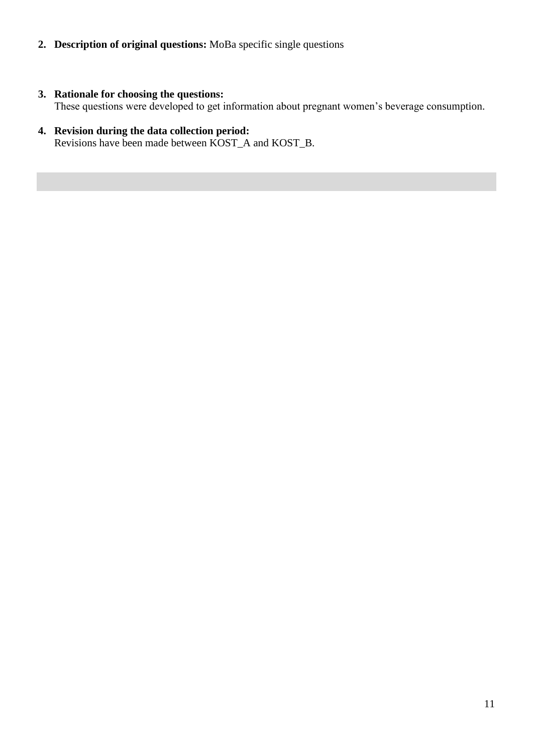- **2. Description of original questions:** MoBa specific single questions
- **3. Rationale for choosing the questions:** These questions were developed to get information about pregnant women's beverage consumption.
- **4. Revision during the data collection period:** Revisions have been made between KOST\_A and KOST\_B.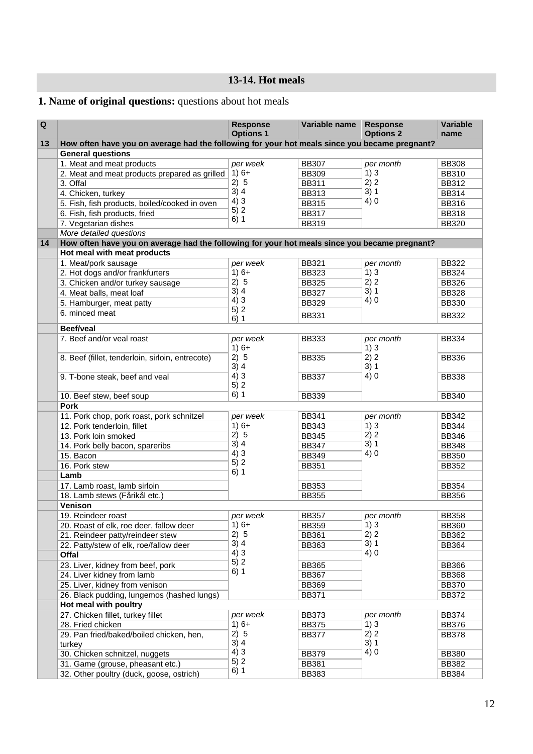## **13-14. Hot meals**

## <span id="page-11-0"></span>**1. Name of original questions:** questions about hot meals

| $\mathbf Q$ |                                                                                               | <b>Response</b><br><b>Options 1</b> | Variable name | <b>Response</b><br><b>Options 2</b> | <b>Variable</b> |
|-------------|-----------------------------------------------------------------------------------------------|-------------------------------------|---------------|-------------------------------------|-----------------|
| 13          | How often have you on average had the following for your hot meals since you became pregnant? |                                     |               |                                     | name            |
|             | <b>General questions</b>                                                                      |                                     |               |                                     |                 |
|             | 1. Meat and meat products                                                                     | per week                            | <b>BB307</b>  | per month                           | <b>BB308</b>    |
|             | 2. Meat and meat products prepared as grilled                                                 | $1)6+$                              | <b>BB309</b>  | 1)3                                 | <b>BB310</b>    |
|             | 3. Offal                                                                                      | 2) 5                                | <b>BB311</b>  | 2) 2                                | <b>BB312</b>    |
|             | 4. Chicken, turkey                                                                            | 3)4                                 | <b>BB313</b>  | 3)1                                 | <b>BB314</b>    |
|             | 5. Fish, fish products, boiled/cooked in oven                                                 | 4)3                                 | <b>BB315</b>  | 4)0                                 | <b>BB316</b>    |
|             | 6. Fish, fish products, fried                                                                 | 5)2                                 | <b>BB317</b>  |                                     | <b>BB318</b>    |
|             | 7. Vegetarian dishes                                                                          | 6)1                                 | <b>BB319</b>  |                                     | <b>BB320</b>    |
|             | More detailed questions                                                                       |                                     |               |                                     |                 |
| 14          | How often have you on average had the following for your hot meals since you became pregnant? |                                     |               |                                     |                 |
|             | Hot meal with meat products                                                                   |                                     |               |                                     |                 |
|             | 1. Meat/pork sausage                                                                          | per week                            | <b>BB321</b>  | per month                           | <b>BB322</b>    |
|             | 2. Hot dogs and/or frankfurters                                                               | $1)6+$                              | <b>BB323</b>  | 1)3                                 | <b>BB324</b>    |
|             | 3. Chicken and/or turkey sausage                                                              | 2) 5                                | <b>BB325</b>  | 2) 2                                | <b>BB326</b>    |
|             | 4. Meat balls, meat loaf                                                                      | 3)4                                 | <b>BB327</b>  | 3)1                                 | <b>BB328</b>    |
|             | 5. Hamburger, meat patty                                                                      | 4)3                                 | <b>BB329</b>  | 4)0                                 | <b>BB330</b>    |
|             | 6. minced meat                                                                                | 5)2                                 |               |                                     |                 |
|             |                                                                                               | 6)1                                 | <b>BB331</b>  |                                     | <b>BB332</b>    |
|             | <b>Beef/veal</b>                                                                              |                                     |               |                                     |                 |
|             | 7. Beef and/or veal roast                                                                     | per week                            | <b>BB333</b>  | per month                           | <b>BB334</b>    |
|             |                                                                                               | $1)6+$                              |               | 1)3                                 |                 |
|             | 8. Beef (fillet, tenderloin, sirloin, entrecote)                                              | 2) 5                                | <b>BB335</b>  | 2) 2                                | <b>BB336</b>    |
|             |                                                                                               | 3)4                                 |               | 3)1                                 |                 |
|             | 9. T-bone steak, beef and veal                                                                | 4)3<br>5)2                          | <b>BB337</b>  | 4)0                                 | <b>BB338</b>    |
|             |                                                                                               | 6)1                                 |               |                                     |                 |
|             | 10. Beef stew, beef soup                                                                      |                                     | <b>BB339</b>  |                                     | <b>BB340</b>    |
|             | <b>Pork</b>                                                                                   |                                     |               |                                     |                 |
|             | 11. Pork chop, pork roast, pork schnitzel                                                     | per week<br>$1)6+$                  | <b>BB341</b>  | per month                           | <b>BB342</b>    |
|             | 12. Pork tenderloin, fillet                                                                   | 2) 5                                | <b>BB343</b>  | 1)3<br>2) 2                         | <b>BB344</b>    |
|             | 13. Pork loin smoked                                                                          | 3)4                                 | <b>BB345</b>  | 3)1                                 | <b>BB346</b>    |
|             | 14. Pork belly bacon, spareribs                                                               | 4)3                                 | <b>BB347</b>  | 4)0                                 | <b>BB348</b>    |
|             | 15. Bacon                                                                                     | 5)2                                 | <b>BB349</b>  |                                     | <b>BB350</b>    |
|             | 16. Pork stew<br>Lamb                                                                         | 6)1                                 | <b>BB351</b>  |                                     | <b>BB352</b>    |
|             | 17. Lamb roast, lamb sirloin                                                                  |                                     | <b>BB353</b>  |                                     | <b>BB354</b>    |
|             | 18. Lamb stews (Fårikål etc.)                                                                 |                                     | <b>BB355</b>  |                                     | <b>BB356</b>    |
|             | Venison                                                                                       |                                     |               |                                     |                 |
|             | 19. Reindeer roast                                                                            | per week                            | <b>BB357</b>  |                                     | <b>BB358</b>    |
|             | 20. Roast of elk, roe deer, fallow deer                                                       | $1)6+$                              | <b>BB359</b>  | per month<br>1)3                    | <b>BB360</b>    |
|             | 21. Reindeer patty/reindeer stew                                                              | 2) 5                                | <b>BB361</b>  | 2) 2                                | <b>BB362</b>    |
|             | 22. Patty/stew of elk, roe/fallow deer                                                        | 3)4                                 | <b>BB363</b>  | 3)1                                 | <b>BB364</b>    |
|             | Offal                                                                                         | 4)3                                 |               | 4)0                                 |                 |
|             | 23. Liver, kidney from beef, pork                                                             | 5)2                                 | <b>BB365</b>  |                                     | <b>BB366</b>    |
|             | 24. Liver kidney from lamb                                                                    | 6)1                                 | <b>BB367</b>  |                                     | <b>BB368</b>    |
|             | 25. Liver, kidney from venison                                                                |                                     | <b>BB369</b>  |                                     | <b>BB370</b>    |
|             | 26. Black pudding, lungemos (hashed lungs)                                                    |                                     | <b>BB371</b>  |                                     | <b>BB372</b>    |
|             | Hot meal with poultry                                                                         |                                     |               |                                     |                 |
|             | 27. Chicken fillet, turkey fillet                                                             | per week                            | <b>BB373</b>  | per month                           | <b>BB374</b>    |
|             | 28. Fried chicken                                                                             | $1)6+$                              | <b>BB375</b>  | 1)3                                 | <b>BB376</b>    |
|             | 29. Pan fried/baked/boiled chicken, hen,                                                      | 2) 5                                | <b>BB377</b>  | 2) 2                                | <b>BB378</b>    |
|             | turkey                                                                                        | 3)4                                 |               | 3)1                                 |                 |
|             | 30. Chicken schnitzel, nuggets                                                                | 4)3                                 | <b>BB379</b>  | 4)0                                 | <b>BB380</b>    |
|             | 31. Game (grouse, pheasant etc.)                                                              | 5)2                                 | <b>BB381</b>  |                                     | <b>BB382</b>    |
|             | 32. Other poultry (duck, goose, ostrich)                                                      | 6)1                                 | <b>BB383</b>  |                                     | <b>BB384</b>    |
|             |                                                                                               |                                     |               |                                     |                 |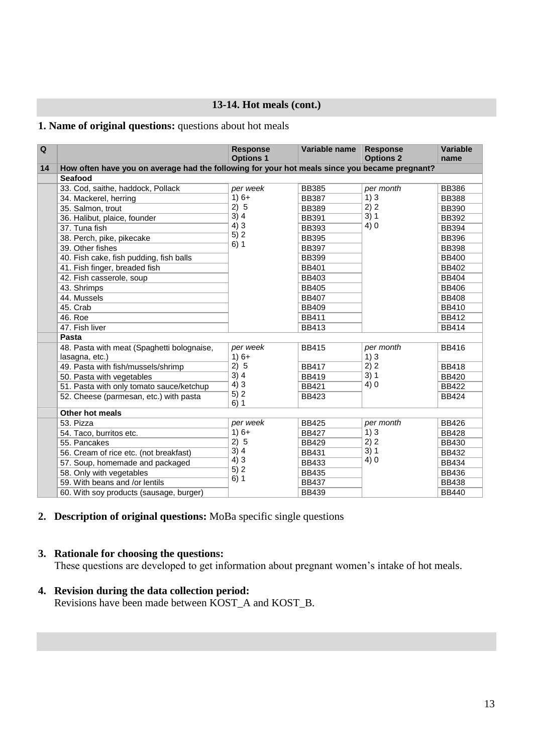#### **13-14. Hot meals (cont.)**

#### <span id="page-12-0"></span>**1. Name of original questions:** questions about hot meals

| $\overline{Q}$ |                                                                                               | <b>Response</b><br><b>Options 1</b> | Variable name | <b>Response</b><br><b>Options 2</b> | Variable<br>name |
|----------------|-----------------------------------------------------------------------------------------------|-------------------------------------|---------------|-------------------------------------|------------------|
| 14             | How often have you on average had the following for your hot meals since you became pregnant? |                                     |               |                                     |                  |
|                | Seafood                                                                                       |                                     |               |                                     |                  |
|                | 33. Cod, saithe, haddock, Pollack                                                             | per week                            | <b>BB385</b>  | per month                           | <b>BB386</b>     |
|                | 34. Mackerel, herring                                                                         | $1)6+$                              | <b>BB387</b>  | 1)3                                 | <b>BB388</b>     |
|                | 35. Salmon, trout                                                                             | 2) 5                                | <b>BB389</b>  | 2) 2                                | <b>BB390</b>     |
|                | 36. Halibut, plaice, founder                                                                  | 3)4                                 | <b>BB391</b>  |                                     | <b>BB392</b>     |
|                | 37. Tuna fish                                                                                 | 4)3                                 | <b>BB393</b>  |                                     | <b>BB394</b>     |
|                | 38. Perch, pike, pikecake                                                                     | 5)2                                 | <b>BB395</b>  |                                     | <b>BB396</b>     |
|                | 39. Other fishes                                                                              | 6)1                                 | <b>BB397</b>  |                                     | <b>BB398</b>     |
|                | 40. Fish cake, fish pudding, fish balls                                                       |                                     | <b>BB399</b>  |                                     | <b>BB400</b>     |
|                | 41. Fish finger, breaded fish                                                                 |                                     | <b>BB401</b>  |                                     | <b>BB402</b>     |
|                | 42. Fish casserole, soup                                                                      |                                     | <b>BB403</b>  |                                     | <b>BB404</b>     |
|                | 43. Shrimps                                                                                   |                                     | <b>BB405</b>  |                                     | <b>BB406</b>     |
|                | 44. Mussels                                                                                   |                                     | <b>BB407</b>  |                                     | <b>BB408</b>     |
|                | 45. Crab                                                                                      |                                     | <b>BB409</b>  |                                     | <b>BB410</b>     |
|                | 46. Roe                                                                                       |                                     | <b>BB411</b>  |                                     | <b>BB412</b>     |
|                | 47. Fish liver                                                                                |                                     | <b>BB413</b>  |                                     | <b>BB414</b>     |
|                | Pasta                                                                                         |                                     |               |                                     |                  |
|                | 48. Pasta with meat (Spaghetti bolognaise,                                                    | per week                            | <b>BB415</b>  | per month                           | <b>BB416</b>     |
|                | lasagna, etc.)                                                                                | $1)6+$                              |               | 1)3                                 |                  |
|                | 49. Pasta with fish/mussels/shrimp                                                            | 2)5                                 | <b>BB417</b>  | 2) 2                                | <b>BB418</b>     |
|                | 50. Pasta with vegetables                                                                     | 3)4                                 | <b>BB419</b>  |                                     | <b>BB420</b>     |
|                | 51. Pasta with only tomato sauce/ketchup                                                      | 4)3                                 | <b>BB421</b>  |                                     | <b>BB422</b>     |
|                | 52. Cheese (parmesan, etc.) with pasta                                                        | 5)2<br>6)1                          | <b>BB423</b>  |                                     | <b>BB424</b>     |
|                | Other hot meals                                                                               |                                     |               |                                     |                  |
|                | 53. Pizza                                                                                     | per week                            | <b>BB425</b>  | per month                           | <b>BB426</b>     |
|                | 54. Taco, burritos etc.                                                                       | $1)6+$                              | <b>BB427</b>  | 1)3                                 | <b>BB428</b>     |
|                | 55. Pancakes                                                                                  | 2) 5                                | <b>BB429</b>  | 2) 2                                | <b>BB430</b>     |
|                | 56. Cream of rice etc. (not breakfast)                                                        | 3)4                                 | <b>BB431</b>  |                                     | <b>BB432</b>     |
|                | 57. Soup, homemade and packaged                                                               | 4)3                                 | <b>BB433</b>  | 4)0                                 | <b>BB434</b>     |
|                | 58. Only with vegetables                                                                      | 5)2                                 | <b>BB435</b>  |                                     | <b>BB436</b>     |
|                | 59. With beans and /or lentils                                                                | 6)1                                 | <b>BB437</b>  |                                     | <b>BB438</b>     |
|                | 60. With soy products (sausage, burger)                                                       |                                     | <b>BB439</b>  | 3)1<br>4)0<br>3)1<br>4)0<br>3)1     | <b>BB440</b>     |

#### **2. Description of original questions:** MoBa specific single questions

#### **3. Rationale for choosing the questions:**

These questions are developed to get information about pregnant women's intake of hot meals.

#### **4. Revision during the data collection period:**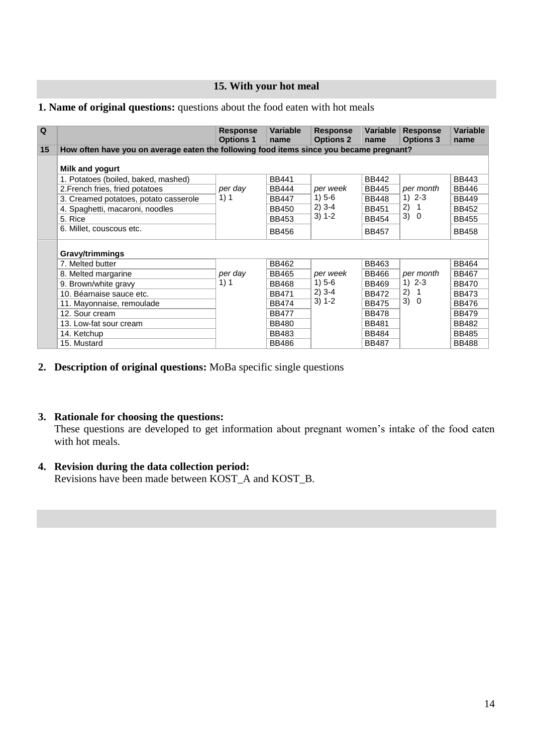#### **15. With your hot meal**

#### <span id="page-13-0"></span>**1. Name of original questions:** questions about the food eaten with hot meals

| Q  |                                                                                         | <b>Response</b><br><b>Options 1</b> | <b>Variable</b><br>name | <b>Response</b><br><b>Options 2</b> | Variable<br>name | <b>Response</b><br><b>Options 3</b> | <b>Variable</b><br>name |
|----|-----------------------------------------------------------------------------------------|-------------------------------------|-------------------------|-------------------------------------|------------------|-------------------------------------|-------------------------|
| 15 | How often have you on average eaten the following food items since you became pregnant? |                                     |                         |                                     |                  |                                     |                         |
|    | Milk and yogurt                                                                         |                                     |                         |                                     |                  |                                     |                         |
|    | 1. Potatoes (boiled, baked, mashed)                                                     |                                     | <b>BB441</b>            |                                     | <b>BB442</b>     |                                     | <b>BB443</b>            |
|    | 2. French fries, fried potatoes                                                         | per day                             | <b>BB444</b>            | per week                            | <b>BB445</b>     | per month                           | <b>BB446</b>            |
|    | 3. Creamed potatoes, potato casserole                                                   | 1) 1                                | <b>BB447</b>            | $1) 5-6$                            | <b>BB448</b>     | $1) 2 - 3$                          | <b>BB449</b>            |
|    | 4. Spaghetti, macaroni, noodles                                                         |                                     | <b>BB450</b>            | $2)$ 3-4                            | <b>BB451</b>     | 2)<br>$\overline{1}$<br>3) 0        | <b>BB452</b>            |
|    | 5. Rice                                                                                 |                                     | <b>BB453</b>            | $3) 1 - 2$                          | <b>BB454</b>     |                                     | <b>BB455</b>            |
|    | 6. Millet, couscous etc.                                                                |                                     | <b>BB456</b>            |                                     | <b>BB457</b>     |                                     | <b>BB458</b>            |
|    | Gravy/trimmings                                                                         |                                     |                         |                                     |                  |                                     |                         |
|    | 7. Melted butter                                                                        |                                     | <b>BB462</b>            |                                     | <b>BB463</b>     |                                     | <b>BB464</b>            |
|    | 8. Melted margarine                                                                     | per day                             | <b>BB465</b>            | per week                            | <b>BB466</b>     | per month                           | <b>BB467</b>            |
|    | 9. Brown/white gravy                                                                    | 1) 1                                | <b>BB468</b>            | $1) 5-6$                            | <b>BB469</b>     | $1) 2 - 3$                          | <b>BB470</b>            |
|    | 10. Béarnaise sauce etc.                                                                |                                     | <b>BB471</b>            | $2)$ 3-4                            | <b>BB472</b>     | 2) 1                                | <b>BB473</b>            |
|    | 11. Mayonnaise, remoulade                                                               |                                     | <b>BB474</b>            | $3) 1 - 2$                          | <b>BB475</b>     | 3) 0                                | <b>BB476</b>            |
|    | 12. Sour cream                                                                          |                                     | <b>BB477</b>            |                                     | <b>BB478</b>     |                                     | <b>BB479</b>            |
|    | 13. Low-fat sour cream                                                                  |                                     | <b>BB480</b>            |                                     | <b>BB481</b>     |                                     | <b>BB482</b>            |
|    | 14. Ketchup                                                                             |                                     | <b>BB483</b>            |                                     | <b>BB484</b>     |                                     | <b>BB485</b>            |
|    | 15. Mustard                                                                             |                                     | <b>BB486</b>            |                                     | <b>BB487</b>     |                                     | <b>BB488</b>            |

**2. Description of original questions:** MoBa specific single questions

#### **3. Rationale for choosing the questions:**

 These questions are developed to get information about pregnant women's intake of the food eaten with hot meals.

#### **4. Revision during the data collection period:**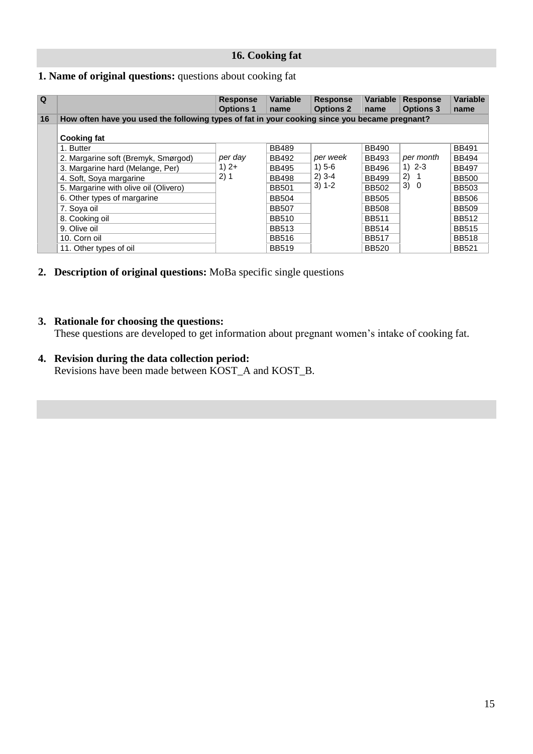#### **16. Cooking fat**

#### <span id="page-14-0"></span>**1. Name of original questions:** questions about cooking fat

| $\Omega$ |                                                                                               | <b>Response</b><br><b>Options 1</b> | <b>Variable</b><br>name | <b>Response</b><br><b>Options 2</b> | Variable<br>name | <b>Response</b><br><b>Options 3</b> | <b>Variable</b><br>name |
|----------|-----------------------------------------------------------------------------------------------|-------------------------------------|-------------------------|-------------------------------------|------------------|-------------------------------------|-------------------------|
| 16       | How often have you used the following types of fat in your cooking since you became pregnant? |                                     |                         |                                     |                  |                                     |                         |
|          | <b>Cooking fat</b>                                                                            |                                     |                         |                                     |                  |                                     |                         |
|          | 1. Butter                                                                                     |                                     | <b>BB489</b>            |                                     | <b>BB490</b>     |                                     | <b>BB491</b>            |
|          | 2. Margarine soft (Bremyk, Smørgod)                                                           | per day                             | <b>BB492</b>            | per week                            | <b>BB493</b>     | per month                           | <b>BB494</b>            |
|          | 3. Margarine hard (Melange, Per)                                                              | $1)$ 2+                             | <b>BB495</b>            | $1) 5 - 6$                          | <b>BB496</b>     | $1) 2 - 3$                          | <b>BB497</b>            |
|          | 4. Soft, Soya margarine                                                                       | 2) 1                                | <b>BB498</b>            | $2)$ 3-4                            | <b>BB499</b>     | 2)                                  | <b>BB500</b>            |
|          | 5. Margarine with olive oil (Olivero)                                                         |                                     | <b>BB501</b>            | $3) 1 - 2$                          | <b>BB502</b>     | 3) 0                                | <b>BB503</b>            |
|          | 6. Other types of margarine                                                                   |                                     | <b>BB504</b>            |                                     | <b>BB505</b>     |                                     | <b>BB506</b>            |
|          | 7. Sova oil                                                                                   |                                     | <b>BB507</b>            |                                     | <b>BB508</b>     |                                     | <b>BB509</b>            |
|          | 8. Cooking oil                                                                                |                                     | <b>BB510</b>            |                                     | <b>BB511</b>     |                                     | <b>BB512</b>            |
|          | 9. Olive oil                                                                                  |                                     | <b>BB513</b>            |                                     | <b>BB514</b>     |                                     | <b>BB515</b>            |
|          | 10. Corn oil                                                                                  |                                     | <b>BB516</b>            |                                     | <b>BB517</b>     |                                     | <b>BB518</b>            |
|          | 11. Other types of oil                                                                        |                                     | <b>BB519</b>            |                                     | <b>BB520</b>     |                                     | <b>BB521</b>            |

**2. Description of original questions:** MoBa specific single questions

#### **3. Rationale for choosing the questions:**

These questions are developed to get information about pregnant women's intake of cooking fat.

## **4. Revision during the data collection period:**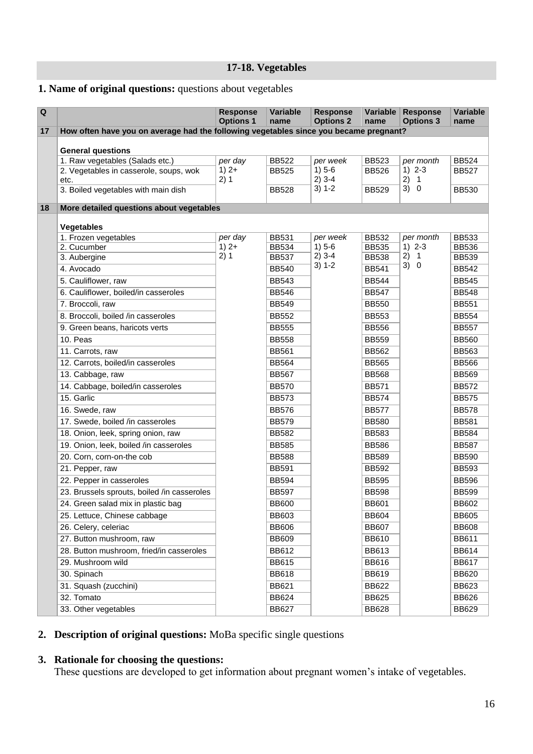**17-18. Vegetables**

#### <span id="page-15-0"></span>**1. Name of original questions:** questions about vegetables

| Q  |                                                                                       | <b>Response</b><br><b>Options 1</b> | <b>Variable</b><br>name      | <b>Response</b><br><b>Options 2</b> | Variable<br>name             | <b>Response</b><br><b>Options 3</b> | Variable<br>name             |
|----|---------------------------------------------------------------------------------------|-------------------------------------|------------------------------|-------------------------------------|------------------------------|-------------------------------------|------------------------------|
| 17 | How often have you on average had the following vegetables since you became pregnant? |                                     |                              |                                     |                              |                                     |                              |
|    |                                                                                       |                                     |                              |                                     |                              |                                     |                              |
|    | <b>General questions</b>                                                              |                                     |                              |                                     |                              |                                     |                              |
|    | 1. Raw vegetables (Salads etc.)                                                       | per day<br>$1)$ 2+                  | <b>BB522</b><br><b>BB525</b> | per week<br>$1) 5-6$                | <b>BB523</b>                 | per month<br>$1) 2 - 3$             | <b>BB524</b><br><b>BB527</b> |
|    | 2. Vegetables in casserole, soups, wok<br>etc.                                        | 2)1                                 |                              | $2)$ 3-4                            | <b>BB526</b>                 | 2) 1                                |                              |
|    | 3. Boiled vegetables with main dish                                                   |                                     | <b>BB528</b>                 | $3) 1 - 2$                          | <b>BB529</b>                 | 3) 0                                | <b>BB530</b>                 |
| 18 | More detailed questions about vegetables                                              |                                     |                              |                                     |                              |                                     |                              |
|    |                                                                                       |                                     |                              |                                     |                              |                                     |                              |
|    | <b>Vegetables</b><br>1. Frozen vegetables                                             |                                     |                              |                                     |                              |                                     |                              |
|    | 2. Cucumber                                                                           | per day<br>$1)$ 2+                  | <b>BB531</b><br><b>BB534</b> | per week<br>$1) 5-6$                | <b>BB532</b><br><b>BB535</b> | per month<br>$1) 2 - 3$             | <b>BB533</b><br><b>BB536</b> |
|    | 3. Aubergine                                                                          | 2)1                                 | <b>BB537</b>                 | $2)$ 3-4                            | <b>BB538</b>                 | 2) 1                                | <b>BB539</b>                 |
|    | 4. Avocado                                                                            |                                     | <b>BB540</b>                 | $3) 1 - 2$                          | <b>BB541</b>                 | 3) 0                                | <b>BB542</b>                 |
|    | 5. Cauliflower, raw                                                                   |                                     | <b>BB543</b>                 |                                     | <b>BB544</b>                 |                                     | <b>BB545</b>                 |
|    | 6. Cauliflower, boiled/in casseroles                                                  |                                     | <b>BB546</b>                 |                                     | <b>BB547</b>                 |                                     | <b>BB548</b>                 |
|    | 7. Broccoli, raw                                                                      |                                     | <b>BB549</b>                 |                                     | <b>BB550</b>                 |                                     | <b>BB551</b>                 |
|    | 8. Broccoli, boiled /in casseroles                                                    |                                     | <b>BB552</b>                 |                                     | <b>BB553</b>                 |                                     | <b>BB554</b>                 |
|    | 9. Green beans, haricots verts                                                        |                                     | <b>BB555</b>                 |                                     | <b>BB556</b>                 |                                     | <b>BB557</b>                 |
|    | 10. Peas                                                                              |                                     | <b>BB558</b>                 |                                     | <b>BB559</b>                 |                                     | <b>BB560</b>                 |
|    | 11. Carrots, raw                                                                      |                                     | <b>BB561</b>                 |                                     | <b>BB562</b>                 |                                     | <b>BB563</b>                 |
|    | 12. Carrots, boiled/in casseroles                                                     |                                     | <b>BB564</b>                 |                                     | <b>BB565</b>                 |                                     | <b>BB566</b>                 |
|    | 13. Cabbage, raw                                                                      |                                     | <b>BB567</b>                 |                                     | <b>BB568</b>                 |                                     | <b>BB569</b>                 |
|    | 14. Cabbage, boiled/in casseroles                                                     |                                     | <b>BB570</b>                 |                                     | <b>BB571</b>                 |                                     | <b>BB572</b>                 |
|    | 15. Garlic                                                                            |                                     | <b>BB573</b>                 |                                     | <b>BB574</b>                 |                                     | <b>BB575</b>                 |
|    | 16. Swede, raw                                                                        |                                     | <b>BB576</b>                 |                                     | <b>BB577</b>                 |                                     | <b>BB578</b>                 |
|    | 17. Swede, boiled /in casseroles                                                      |                                     | <b>BB579</b>                 |                                     | <b>BB580</b>                 |                                     | <b>BB581</b>                 |
|    | 18. Onion, leek, spring onion, raw                                                    |                                     | <b>BB582</b>                 |                                     | <b>BB583</b>                 |                                     | <b>BB584</b>                 |
|    | 19. Onion, leek, boiled /in casseroles                                                |                                     | <b>BB585</b>                 |                                     | <b>BB586</b>                 |                                     | <b>BB587</b>                 |
|    | 20. Corn, corn-on-the cob                                                             |                                     | <b>BB588</b>                 |                                     | <b>BB589</b>                 |                                     | <b>BB590</b>                 |
|    | 21. Pepper, raw                                                                       |                                     | <b>BB591</b>                 |                                     | <b>BB592</b>                 |                                     | <b>BB593</b>                 |
|    | 22. Pepper in casseroles                                                              |                                     | <b>BB594</b>                 |                                     | <b>BB595</b>                 |                                     | <b>BB596</b>                 |
|    | 23. Brussels sprouts, boiled /in casseroles                                           |                                     | <b>BB597</b>                 |                                     | <b>BB598</b>                 |                                     | <b>BB599</b>                 |
|    | 24. Green salad mix in plastic bag                                                    |                                     | <b>BB600</b>                 |                                     | <b>BB601</b>                 |                                     | <b>BB602</b>                 |
|    | 25. Lettuce, Chinese cabbage                                                          |                                     | <b>BB603</b>                 |                                     | <b>BB604</b>                 |                                     | <b>BB605</b>                 |
|    | 26. Celery, celeriac                                                                  |                                     | <b>BB606</b>                 |                                     | <b>BB607</b>                 |                                     | <b>BB608</b>                 |
|    | 27. Button mushroom, raw                                                              |                                     | <b>BB609</b>                 |                                     | <b>BB610</b>                 |                                     | <b>BB611</b>                 |
|    | 28. Button mushroom, fried/in casseroles                                              |                                     | <b>BB612</b>                 |                                     | <b>BB613</b>                 |                                     | <b>BB614</b>                 |
|    | 29. Mushroom wild                                                                     |                                     | <b>BB615</b>                 |                                     | <b>BB616</b>                 |                                     | <b>BB617</b>                 |
|    | 30. Spinach                                                                           |                                     | <b>BB618</b>                 |                                     | <b>BB619</b>                 |                                     | <b>BB620</b>                 |
|    | 31. Squash (zucchini)                                                                 |                                     | <b>BB621</b>                 |                                     | <b>BB622</b>                 |                                     | BB623                        |
|    | 32. Tomato                                                                            |                                     | <b>BB624</b>                 |                                     | <b>BB625</b>                 |                                     | <b>BB626</b>                 |
|    | 33. Other vegetables                                                                  |                                     | <b>BB627</b>                 |                                     | <b>BB628</b>                 |                                     | <b>BB629</b>                 |

#### **2. Description of original questions:** MoBa specific single questions

#### **3. Rationale for choosing the questions:**

These questions are developed to get information about pregnant women's intake of vegetables.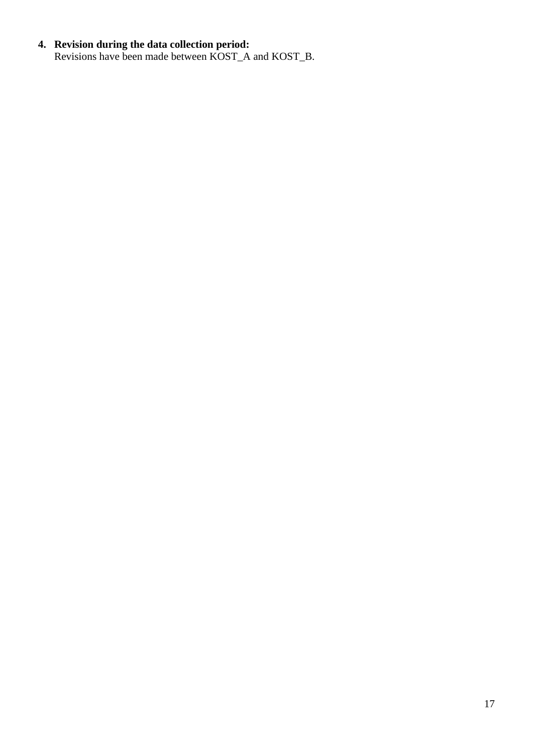#### **4. Revision during the data collection period:**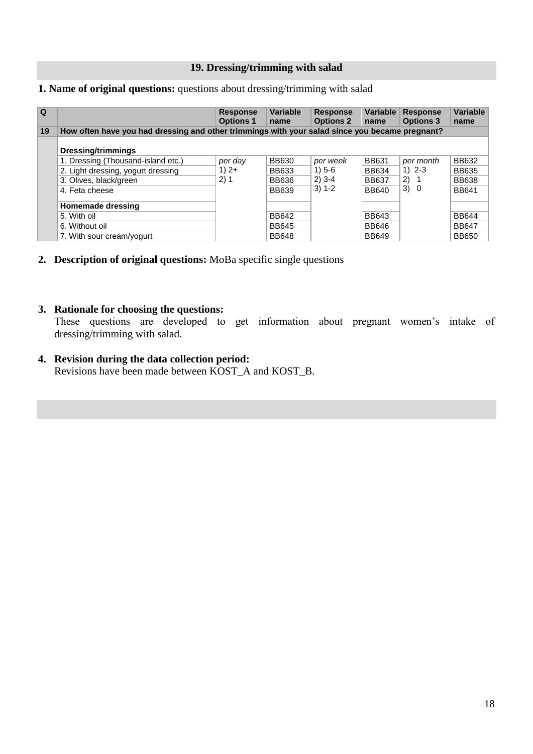#### **19. Dressing/trimming with salad**

#### <span id="page-17-0"></span>**1. Name of original questions:** questions about dressing/trimming with salad

| $\Omega$ |                                                                                                | <b>Response</b><br><b>Options 1</b> | <b>Variable</b><br>name | <b>Response</b><br><b>Options 2</b> | Variable<br>name | <b>Response</b><br><b>Options 3</b> | Variable<br>name |
|----------|------------------------------------------------------------------------------------------------|-------------------------------------|-------------------------|-------------------------------------|------------------|-------------------------------------|------------------|
| 19       | How often have you had dressing and other trimmings with your salad since you became pregnant? |                                     |                         |                                     |                  |                                     |                  |
|          | <b>Dressing/trimmings</b>                                                                      |                                     |                         |                                     |                  |                                     |                  |
|          | 1. Dressing (Thousand-island etc.)                                                             | per day                             | <b>BB630</b>            | per week                            | <b>BB631</b>     | per month                           | <b>BB632</b>     |
|          | 2. Light dressing, yogurt dressing                                                             | $1)$ 2+                             | <b>BB633</b>            | $1) 5-6$                            | <b>BB634</b>     | $1) 2 - 3$                          | <b>BB635</b>     |
|          | 3. Olives, black/green                                                                         | 2) 1                                | <b>BB636</b>            | $2)$ 3-4                            | <b>BB637</b>     | 2)                                  | <b>BB638</b>     |
|          | 4. Feta cheese                                                                                 |                                     | <b>BB639</b>            | $3) 1 - 2$                          | <b>BB640</b>     | 3) 0                                | <b>BB641</b>     |
|          | Homemade dressing                                                                              |                                     |                         |                                     |                  |                                     |                  |
|          | 5. With oil                                                                                    |                                     | <b>BB642</b>            |                                     | <b>BB643</b>     |                                     | <b>BB644</b>     |
|          | 6. Without oil                                                                                 |                                     | <b>BB645</b>            |                                     | <b>BB646</b>     |                                     | <b>BB647</b>     |
|          | 7. With sour cream/yogurt                                                                      |                                     | <b>BB648</b>            |                                     | <b>BB649</b>     |                                     | <b>BB650</b>     |

**2. Description of original questions:** MoBa specific single questions

#### **3. Rationale for choosing the questions:**

 These questions are developed to get information about pregnant women's intake of dressing/trimming with salad.

**4. Revision during the data collection period:** Revisions have been made between KOST\_A and KOST\_B.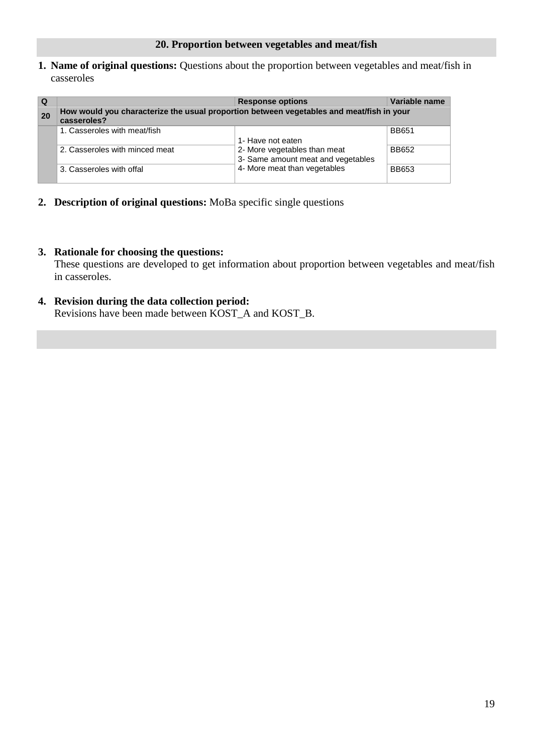<span id="page-18-0"></span>**1. Name of original questions:** Questions about the proportion between vegetables and meat/fish in casseroles

| Q  |                                                                                                         | <b>Response options</b>                                            | Variable name |  |  |  |  |  |  |
|----|---------------------------------------------------------------------------------------------------------|--------------------------------------------------------------------|---------------|--|--|--|--|--|--|
| 20 | How would you characterize the usual proportion between vegetables and meat/fish in your<br>casseroles? |                                                                    |               |  |  |  |  |  |  |
|    | 1. Casseroles with meat/fish                                                                            | 1- Have not eaten                                                  | <b>BB651</b>  |  |  |  |  |  |  |
|    | 2. Casseroles with minced meat                                                                          | 2- More vegetables than meat<br>3- Same amount meat and vegetables | <b>BB652</b>  |  |  |  |  |  |  |
|    | 3. Casseroles with offal                                                                                | 4- More meat than vegetables                                       | <b>BB653</b>  |  |  |  |  |  |  |

**2. Description of original questions:** MoBa specific single questions

#### **3. Rationale for choosing the questions:**

 These questions are developed to get information about proportion between vegetables and meat/fish in casseroles.

**4. Revision during the data collection period:** Revisions have been made between KOST\_A and KOST\_B.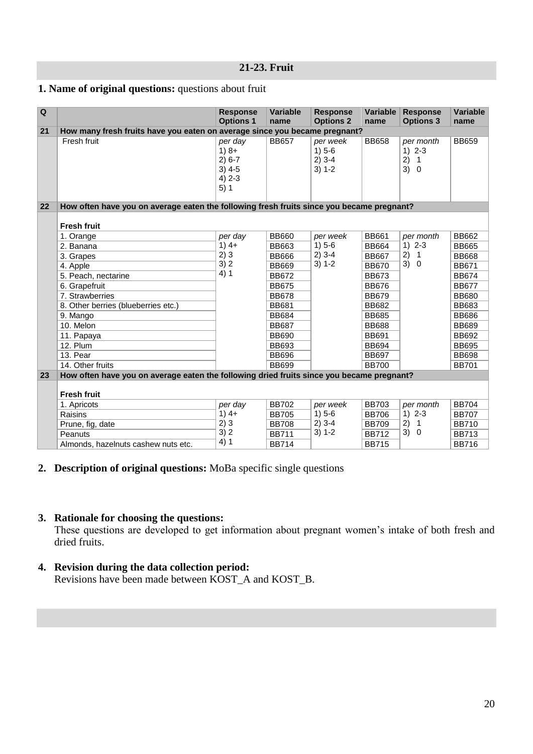#### **21-23. Fruit**

#### <span id="page-19-0"></span>**1. Name of original questions:** questions about fruit

| Q  |                                                                                           | <b>Response</b><br><b>Options 1</b>                            | <b>Variable</b><br>name | <b>Response</b><br><b>Options 2</b>            | <b>Variable</b><br>name | <b>Response</b><br><b>Options 3</b>                                | Variable<br>name |
|----|-------------------------------------------------------------------------------------------|----------------------------------------------------------------|-------------------------|------------------------------------------------|-------------------------|--------------------------------------------------------------------|------------------|
| 21 | How many fresh fruits have you eaten on average since you became pregnant?                |                                                                |                         |                                                |                         |                                                                    |                  |
|    | Fresh fruit                                                                               | per day<br>$1)8+$<br>$2) 6-7$<br>$3)$ 4-5<br>$4) 2 - 3$<br>5)1 | <b>BB657</b>            | per week<br>$1) 5-6$<br>$2)$ 3-4<br>$3) 1 - 2$ | <b>BB658</b>            | per month<br>$1) 2-3$<br>2)<br>$\overline{1}$<br>3)<br>$\mathbf 0$ | <b>BB659</b>     |
| 22 | How often have you on average eaten the following fresh fruits since you became pregnant? |                                                                |                         |                                                |                         |                                                                    |                  |
|    | <b>Fresh fruit</b>                                                                        |                                                                |                         |                                                |                         |                                                                    |                  |
|    | 1. Orange                                                                                 | per day                                                        | <b>BB660</b>            | per week                                       | <b>BB661</b>            | per month                                                          | <b>BB662</b>     |
|    | 2. Banana                                                                                 | $1)4+$                                                         | <b>BB663</b>            | $1) 5-6$                                       | <b>BB664</b>            | $1) 2-3$                                                           | <b>BB665</b>     |
|    | 3. Grapes                                                                                 | 2)3                                                            | <b>BB666</b>            | $2)$ 3-4                                       | <b>BB667</b>            | 2)<br>$\mathbf{1}$                                                 | <b>BB668</b>     |
|    | 4. Apple                                                                                  | 3) 2                                                           | <b>BB669</b>            | $3) 1 - 2$                                     | <b>BB670</b>            | 3)<br>$\mathbf 0$                                                  | <b>BB671</b>     |
|    | 5. Peach, nectarine                                                                       | 4)1                                                            | <b>BB672</b>            |                                                | <b>BB673</b>            |                                                                    | <b>BB674</b>     |
|    | 6. Grapefruit                                                                             |                                                                | <b>BB675</b>            |                                                | <b>BB676</b>            |                                                                    | <b>BB677</b>     |
|    | 7. Strawberries                                                                           |                                                                | <b>BB678</b>            |                                                | <b>BB679</b>            |                                                                    | <b>BB680</b>     |
|    | 8. Other berries (blueberries etc.)                                                       |                                                                | <b>BB681</b>            |                                                | <b>BB682</b>            |                                                                    | <b>BB683</b>     |
|    | 9. Mango                                                                                  |                                                                | <b>BB684</b>            |                                                | <b>BB685</b>            |                                                                    | <b>BB686</b>     |
|    | 10. Melon                                                                                 |                                                                | <b>BB687</b>            |                                                | <b>BB688</b>            |                                                                    | <b>BB689</b>     |
|    | 11. Papaya                                                                                |                                                                | <b>BB690</b>            |                                                | <b>BB691</b>            |                                                                    | <b>BB692</b>     |
|    | 12. Plum                                                                                  |                                                                | <b>BB693</b>            |                                                | <b>BB694</b>            |                                                                    | <b>BB695</b>     |
|    | 13. Pear                                                                                  |                                                                | <b>BB696</b>            |                                                | <b>BB697</b>            |                                                                    | <b>BB698</b>     |
|    | 14. Other fruits                                                                          |                                                                | <b>BB699</b>            |                                                | <b>BB700</b>            |                                                                    | <b>BB701</b>     |
| 23 | How often have you on average eaten the following dried fruits since you became pregnant? |                                                                |                         |                                                |                         |                                                                    |                  |
|    | <b>Fresh fruit</b>                                                                        |                                                                |                         |                                                |                         |                                                                    |                  |
|    | 1. Apricots                                                                               | per day                                                        | <b>BB702</b>            | per week                                       | <b>BB703</b>            | per month                                                          | <b>BB704</b>     |
|    | Raisins                                                                                   | $1)4+$                                                         | <b>BB705</b>            | $1) 5-6$                                       | <b>BB706</b>            | $1) 2 - 3$                                                         | <b>BB707</b>     |
|    | Prune, fig, date                                                                          | 2)3                                                            | <b>BB708</b>            | $2)$ 3-4                                       | <b>BB709</b>            | 2)<br>$\overline{1}$                                               | <b>BB710</b>     |
|    | Peanuts                                                                                   | 3)2                                                            | <b>BB711</b>            | $3) 1 - 2$                                     | <b>BB712</b>            | 3)<br>$\mathbf 0$                                                  | <b>BB713</b>     |
|    | Almonds, hazelnuts cashew nuts etc.                                                       | 4)1                                                            | <b>BB714</b>            |                                                | <b>BB715</b>            |                                                                    | <b>BB716</b>     |

#### **2. Description of original questions:** MoBa specific single questions

#### **3. Rationale for choosing the questions:**

 These questions are developed to get information about pregnant women's intake of both fresh and dried fruits.

## **4. Revision during the data collection period:**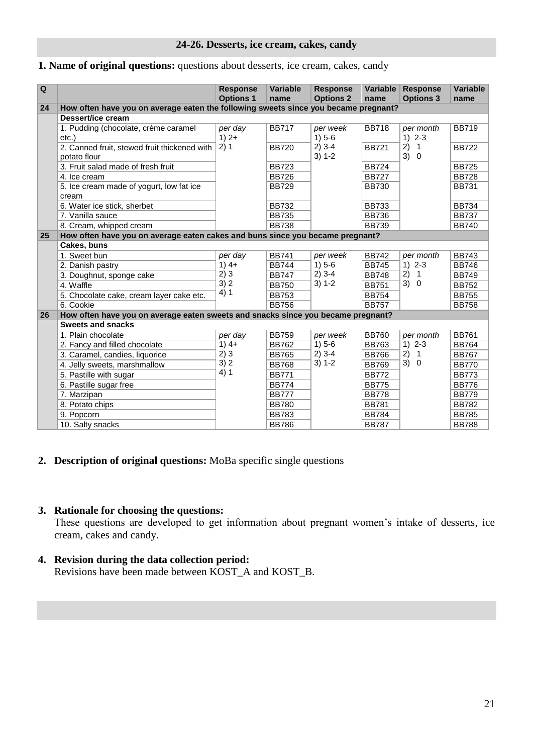#### **24-26. Desserts, ice cream, cakes, candy**

#### <span id="page-20-0"></span>**1. Name of original questions:** questions about desserts, ice cream, cakes, candy

| Q  |                                                                                     | <b>Response</b><br><b>Options 1</b> | <b>Variable</b><br>name | <b>Response</b><br><b>Options 2</b> | Variable<br>name | <b>Response</b><br><b>Options 3</b> | Variable<br>name |
|----|-------------------------------------------------------------------------------------|-------------------------------------|-------------------------|-------------------------------------|------------------|-------------------------------------|------------------|
| 24 | How often have you on average eaten the following sweets since you became pregnant? |                                     |                         |                                     |                  |                                     |                  |
|    | Dessert/ice cream                                                                   |                                     |                         |                                     |                  |                                     |                  |
|    | 1. Pudding (chocolate, crème caramel<br>$etc.$ )                                    | per day<br>$1)$ 2+                  | <b>BB717</b>            | per week<br>$1) 5-6$                | <b>BB718</b>     | per month<br>$1) 2-3$               | <b>BB719</b>     |
|    | 2. Canned fruit, stewed fruit thickened with<br>potato flour                        | 2)1                                 | <b>BB720</b>            | $2)$ 3-4<br>$3) 1 - 2$              | <b>BB721</b>     | 2)<br>$\mathbf{1}$<br>3) 0          | <b>BB722</b>     |
|    | 3. Fruit salad made of fresh fruit                                                  |                                     | <b>BB723</b>            |                                     | <b>BB724</b>     |                                     | <b>BB725</b>     |
|    | 4. Ice cream                                                                        |                                     | <b>BB726</b>            |                                     | <b>BB727</b>     |                                     | <b>BB728</b>     |
|    | 5. Ice cream made of yogurt, low fat ice<br>cream                                   |                                     | <b>BB729</b>            |                                     | <b>BB730</b>     |                                     | <b>BB731</b>     |
|    | 6. Water ice stick, sherbet                                                         |                                     | <b>BB732</b>            |                                     | <b>BB733</b>     |                                     | <b>BB734</b>     |
|    | 7. Vanilla sauce                                                                    |                                     | <b>BB735</b>            |                                     | <b>BB736</b>     |                                     | <b>BB737</b>     |
|    | 8. Cream, whipped cream                                                             |                                     | <b>BB738</b>            |                                     | <b>BB739</b>     |                                     | <b>BB740</b>     |
| 25 | How often have you on average eaten cakes and buns since you became pregnant?       |                                     |                         |                                     |                  |                                     |                  |
|    | Cakes, buns                                                                         |                                     |                         |                                     |                  |                                     |                  |
|    | 1. Sweet bun                                                                        | per day                             | <b>BB741</b>            | per week                            | <b>BB742</b>     | per month                           | <b>BB743</b>     |
|    | 2. Danish pastry                                                                    | $1)4+$                              | <b>BB744</b>            | $1) 5-6$                            | <b>BB745</b>     | $1) 2 - 3$                          | <b>BB746</b>     |
|    | 3. Doughnut, sponge cake                                                            | 2)3                                 | <b>BB747</b>            | $2)$ 3-4                            | <b>BB748</b>     | 2)<br>$\overline{1}$                | <b>BB749</b>     |
|    | 4. Waffle                                                                           | 3)2                                 | <b>BB750</b>            | $3) 1 - 2$                          | <b>BB751</b>     | 3) 0                                | <b>BB752</b>     |
|    | 5. Chocolate cake, cream layer cake etc.                                            | 4)1                                 | <b>BB753</b>            |                                     | <b>BB754</b>     |                                     | <b>BB755</b>     |
|    | 6. Cookie                                                                           |                                     | <b>BB756</b>            |                                     | <b>BB757</b>     |                                     | <b>BB758</b>     |
| 26 | How often have you on average eaten sweets and snacks since you became pregnant?    |                                     |                         |                                     |                  |                                     |                  |
|    | <b>Sweets and snacks</b>                                                            |                                     |                         |                                     |                  |                                     |                  |
|    | 1. Plain chocolate                                                                  | per day                             | <b>BB759</b>            | per week                            | <b>BB760</b>     | per month                           | <b>BB761</b>     |
|    | 2. Fancy and filled chocolate                                                       | $1)4+$                              | <b>BB762</b>            | $1) 5-6$                            | <b>BB763</b>     | $1) 2 - 3$                          | <b>BB764</b>     |
|    | 3. Caramel, candies, liquorice                                                      | 2)3                                 | <b>BB765</b>            | $2)$ 3-4                            | <b>BB766</b>     | 2)<br>$\mathbf{1}$                  | <b>BB767</b>     |
|    | 4. Jelly sweets, marshmallow                                                        | 3)2<br>4)1                          | <b>BB768</b>            | $3) 1 - 2$                          | <b>BB769</b>     | 3) 0                                | <b>BB770</b>     |
|    | 5. Pastille with sugar                                                              |                                     | <b>BB771</b>            |                                     | <b>BB772</b>     |                                     | <b>BB773</b>     |
|    | 6. Pastille sugar free                                                              |                                     | <b>BB774</b>            |                                     | <b>BB775</b>     |                                     | <b>BB776</b>     |
|    | 7. Marzipan                                                                         |                                     | <b>BB777</b>            |                                     | <b>BB778</b>     |                                     | <b>BB779</b>     |
|    | 8. Potato chips                                                                     |                                     | <b>BB780</b>            |                                     | <b>BB781</b>     |                                     | <b>BB782</b>     |
|    | 9. Popcorn                                                                          |                                     | <b>BB783</b>            |                                     | <b>BB784</b>     |                                     | <b>BB785</b>     |
|    | 10. Salty snacks                                                                    |                                     | <b>BB786</b>            |                                     | <b>BB787</b>     |                                     | <b>BB788</b>     |

#### **2. Description of original questions:** MoBa specific single questions

#### **3. Rationale for choosing the questions:**

 These questions are developed to get information about pregnant women's intake of desserts, ice cream, cakes and candy.

#### **4. Revision during the data collection period:** Revisions have been made between KOST\_A and KOST\_B.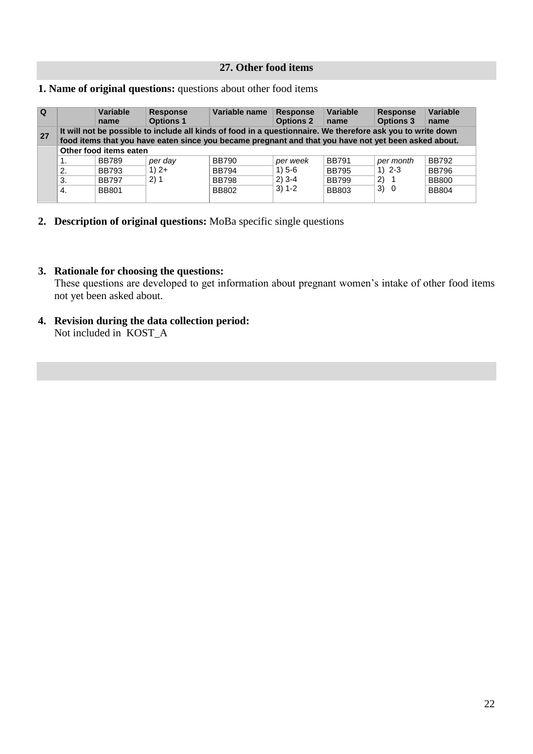#### **27. Other food items**

#### <span id="page-21-0"></span>**1. Name of original questions:** questions about other food items

| $\Omega$ |                        | Variable<br>name | <b>Response</b><br><b>Options 1</b>                                                                                                                                                                                 | Variable name | <b>Response</b><br><b>Options 2</b> | Variable<br>name | <b>Response</b><br><b>Options 3</b> | Variable<br>name |  |
|----------|------------------------|------------------|---------------------------------------------------------------------------------------------------------------------------------------------------------------------------------------------------------------------|---------------|-------------------------------------|------------------|-------------------------------------|------------------|--|
| 27       |                        |                  | It will not be possible to include all kinds of food in a questionnaire. We therefore ask you to write down<br>food items that you have eaten since you became pregnant and that you have not yet been asked about. |               |                                     |                  |                                     |                  |  |
|          | Other food items eaten |                  |                                                                                                                                                                                                                     |               |                                     |                  |                                     |                  |  |
|          |                        | <b>BB789</b>     | per day                                                                                                                                                                                                             | <b>BB790</b>  | per week                            | <b>BB791</b>     | per month                           | <b>BB792</b>     |  |
|          | 2.                     | <b>BB793</b>     | $1)$ 2+                                                                                                                                                                                                             | <b>BB794</b>  | 1) 5-6                              | <b>BB795</b>     | $1)$ 2-3                            | <b>BB796</b>     |  |
|          | 3.                     | <b>BB797</b>     | 2)1                                                                                                                                                                                                                 | <b>BB798</b>  | $2)$ 3-4                            | <b>BB799</b>     | 2) 1                                | <b>BB800</b>     |  |
|          | 4.                     | <b>BB801</b>     |                                                                                                                                                                                                                     | <b>BB802</b>  | $3) 1 - 2$                          | <b>BB803</b>     | 3) 0                                | <b>BB804</b>     |  |

**2. Description of original questions:** MoBa specific single questions

#### **3. Rationale for choosing the questions:**

 These questions are developed to get information about pregnant women's intake of other food items not yet been asked about.

**4. Revision during the data collection period:** Not included in KOST\_A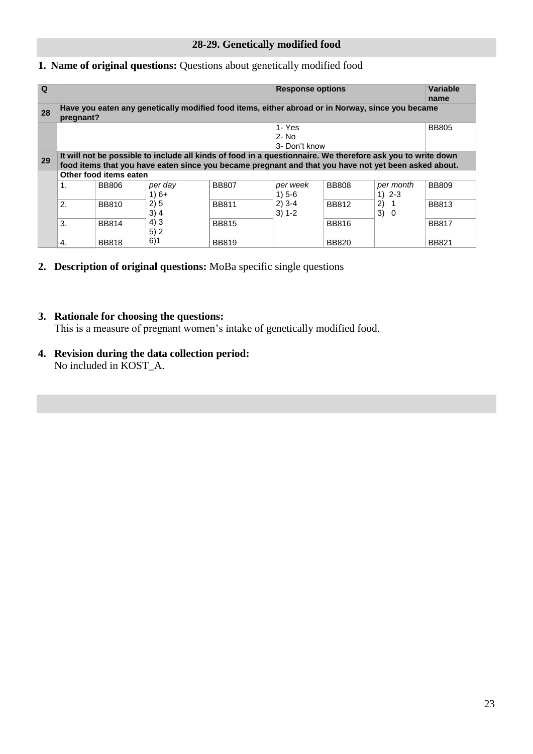#### <span id="page-22-0"></span>**1. Name of original questions:** Questions about genetically modified food

| $\Omega$ |               |                        |                   |                                                                                                                                                                                                                     | <b>Response options</b>             |              |                         | <b>Variable</b><br>name |
|----------|---------------|------------------------|-------------------|---------------------------------------------------------------------------------------------------------------------------------------------------------------------------------------------------------------------|-------------------------------------|--------------|-------------------------|-------------------------|
| 28       | pregnant?     |                        |                   | Have you eaten any genetically modified food items, either abroad or in Norway, since you became                                                                                                                    |                                     |              |                         |                         |
|          |               |                        |                   |                                                                                                                                                                                                                     | 1- Yes<br>$2 - No$<br>3- Don't know |              |                         | <b>BB805</b>            |
| 29       |               |                        |                   | It will not be possible to include all kinds of food in a questionnaire. We therefore ask you to write down<br>food items that you have eaten since you became pregnant and that you have not yet been asked about. |                                     |              |                         |                         |
|          |               | Other food items eaten |                   |                                                                                                                                                                                                                     |                                     |              |                         |                         |
|          | $\mathbf 1$ . | <b>BB806</b>           | per day<br>$1)6+$ | <b>BB807</b>                                                                                                                                                                                                        | per week<br>$1) 5 - 6$              | <b>BB808</b> | per month<br>$1) 2 - 3$ | <b>BB809</b>            |
|          | 2.            | <b>BB810</b>           | 2)5<br>$3)$ 4     | <b>BB811</b>                                                                                                                                                                                                        | $2)$ 3-4<br>$3) 1 - 2$              | <b>BB812</b> | 2)<br>-1<br>3)<br>- 0   | <b>BB813</b>            |
|          | 3.            | <b>BB814</b>           | 4)3<br>5)2        | <b>BB815</b>                                                                                                                                                                                                        |                                     | <b>BB816</b> |                         | <b>BB817</b>            |
|          | 4.            | <b>BB818</b>           | 6)1               | <b>BB819</b>                                                                                                                                                                                                        |                                     | <b>BB820</b> |                         | <b>BB821</b>            |

**2. Description of original questions:** MoBa specific single questions

#### **3. Rationale for choosing the questions:**

This is a measure of pregnant women's intake of genetically modified food.

**4. Revision during the data collection period:** No included in KOST\_A.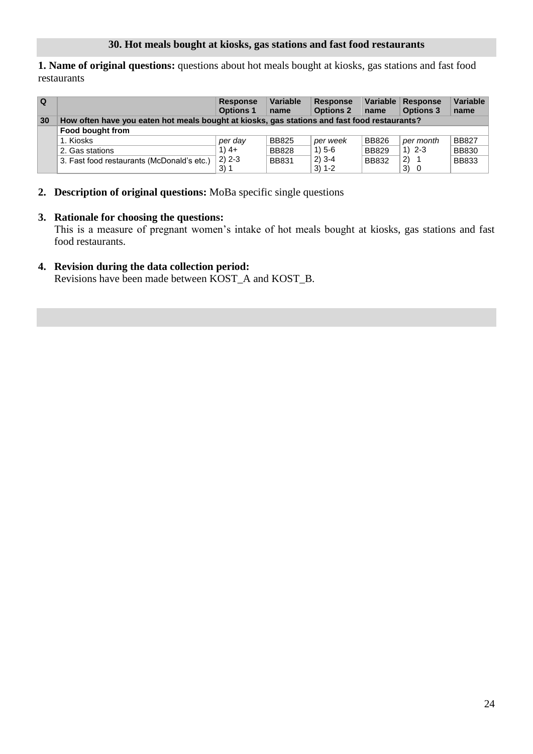<span id="page-23-0"></span>**1. Name of original questions:** questions about hot meals bought at kiosks, gas stations and fast food restaurants

| l Q |                                                                                              | <b>Response</b><br><b>Options 1</b> | <b>Variable</b><br>name | <b>Response</b><br><b>Options 2</b> | Variable  <br>name | Response<br><b>Options 3</b> | <b>Variable</b><br>name |  |
|-----|----------------------------------------------------------------------------------------------|-------------------------------------|-------------------------|-------------------------------------|--------------------|------------------------------|-------------------------|--|
| 30  | How often have you eaten hot meals bought at kiosks, gas stations and fast food restaurants? |                                     |                         |                                     |                    |                              |                         |  |
|     | Food bought from                                                                             |                                     |                         |                                     |                    |                              |                         |  |
|     | 1. Kiosks                                                                                    | per day                             | <b>BB825</b>            | per week                            | <b>BB826</b>       | per month                    | <b>BB827</b>            |  |
|     | 2. Gas stations                                                                              | $1)$ 4+                             | <b>BB828</b>            | $1) 5 - 6$                          | <b>BB829</b>       | $1)$ 2-3                     | <b>BB830</b>            |  |
|     | 3. Fast food restaurants (McDonald's etc.)                                                   | $2) 2 - 3$                          | <b>BB831</b>            | $2)$ 3-4                            | <b>BB832</b>       | (2)                          | <b>BB833</b>            |  |
|     |                                                                                              | 3)1                                 |                         | $3) 1 - 2$                          |                    | 3)<br>0                      |                         |  |

**2. Description of original questions:** MoBa specific single questions

#### **3. Rationale for choosing the questions:**

 This is a measure of pregnant women's intake of hot meals bought at kiosks, gas stations and fast food restaurants.

#### **4. Revision during the data collection period:**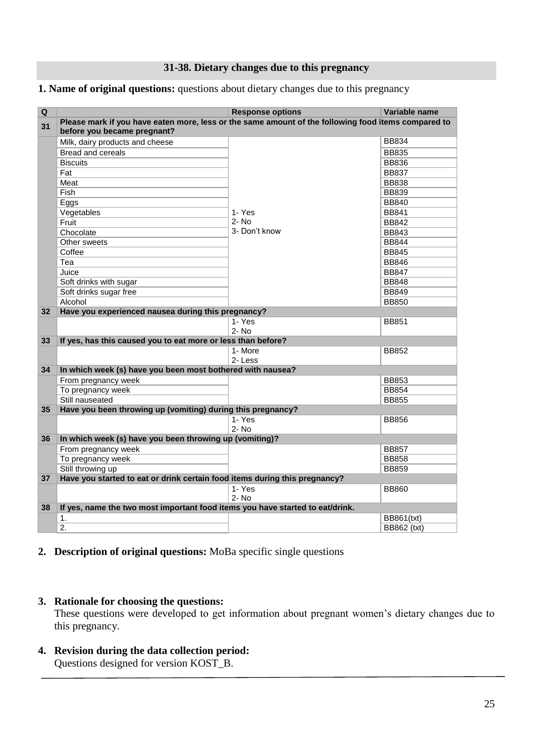#### **31-38. Dietary changes due to this pregnancy**

#### <span id="page-24-0"></span>**1. Name of original questions:** questions about dietary changes due to this pregnancy

| Q  |                                                                                                     | <b>Response options</b> | Variable name |
|----|-----------------------------------------------------------------------------------------------------|-------------------------|---------------|
|    | Please mark if you have eaten more, less or the same amount of the following food items compared to |                         |               |
| 31 | before you became pregnant?                                                                         |                         |               |
|    | Milk, dairy products and cheese                                                                     |                         | <b>BB834</b>  |
|    | Bread and cereals                                                                                   |                         | <b>BB835</b>  |
|    | <b>Biscuits</b>                                                                                     |                         | <b>BB836</b>  |
|    | Fat                                                                                                 |                         | <b>BB837</b>  |
|    | Meat                                                                                                |                         | <b>BB838</b>  |
|    | Fish                                                                                                |                         | <b>BB839</b>  |
|    | Eggs                                                                                                |                         | <b>BB840</b>  |
|    | Vegetables                                                                                          | 1- Yes                  | <b>BB841</b>  |
|    | Fruit                                                                                               | $2 - No$                | <b>BB842</b>  |
|    | Chocolate                                                                                           | 3- Don't know           | <b>BB843</b>  |
|    | Other sweets                                                                                        |                         | <b>BB844</b>  |
|    | Coffee                                                                                              |                         | <b>BB845</b>  |
|    | Tea                                                                                                 |                         | <b>BB846</b>  |
|    | Juice                                                                                               |                         | <b>BB847</b>  |
|    | Soft drinks with sugar                                                                              |                         | <b>BB848</b>  |
|    | Soft drinks sugar free                                                                              |                         | <b>BB849</b>  |
|    | Alcohol                                                                                             |                         | <b>BB850</b>  |
| 32 | Have you experienced nausea during this pregnancy?                                                  |                         |               |
|    |                                                                                                     | 1- Yes                  | <b>BB851</b>  |
|    |                                                                                                     | $2 - No$                |               |
| 33 | If yes, has this caused you to eat more or less than before?                                        |                         |               |
|    |                                                                                                     | 1- More                 | <b>BB852</b>  |
|    |                                                                                                     | 2-Less                  |               |
| 34 | In which week (s) have you been most bothered with nausea?                                          |                         |               |
|    | From pregnancy week                                                                                 |                         | <b>BB853</b>  |
|    | To pregnancy week                                                                                   |                         | <b>BB854</b>  |
|    | Still nauseated                                                                                     |                         | <b>BB855</b>  |
| 35 | Have you been throwing up (vomiting) during this pregnancy?                                         |                         |               |
|    |                                                                                                     | 1- Yes                  | <b>BB856</b>  |
|    |                                                                                                     | $2 - No$                |               |
| 36 | In which week (s) have you been throwing up (vomiting)?                                             |                         |               |
|    | From pregnancy week                                                                                 |                         | <b>BB857</b>  |
|    | To pregnancy week                                                                                   |                         | <b>BB858</b>  |
|    | Still throwing up                                                                                   |                         | <b>BB859</b>  |
| 37 | Have you started to eat or drink certain food items during this pregnancy?                          |                         |               |
|    |                                                                                                     | 1- Yes                  | <b>BB860</b>  |
|    |                                                                                                     | $2 - No$                |               |
| 38 | If yes, name the two most important food items you have started to eat/drink.                       |                         |               |
|    | 1.                                                                                                  |                         | BB861(txt)    |
|    | 2.                                                                                                  |                         | BB862 (txt)   |

#### **2. Description of original questions:** MoBa specific single questions

#### **3. Rationale for choosing the questions:**

 These questions were developed to get information about pregnant women's dietary changes due to this pregnancy.

#### **4. Revision during the data collection period:**

Questions designed for version KOST\_B.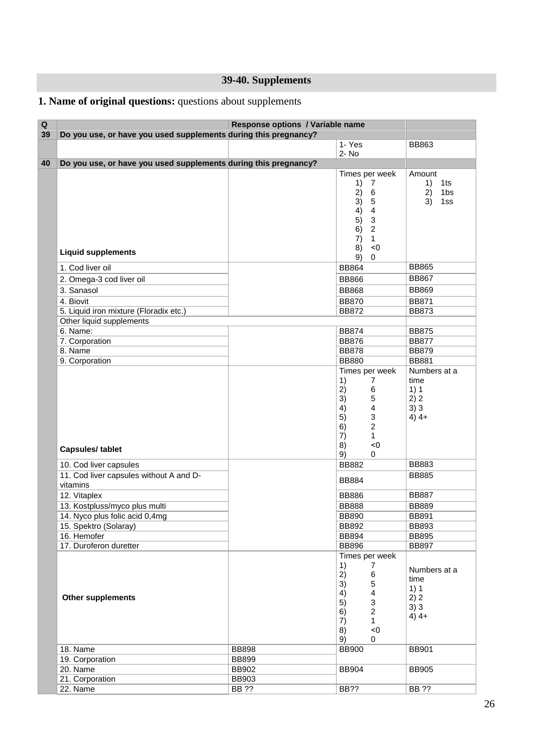## **39-40. Supplements**

## <span id="page-25-0"></span>**1. Name of original questions:** questions about supplements

| $\pmb{\mathsf{Q}}$ | Response options / Variable name                                |              |                                                                                                                                                                                                      |                                                       |  |  |  |
|--------------------|-----------------------------------------------------------------|--------------|------------------------------------------------------------------------------------------------------------------------------------------------------------------------------------------------------|-------------------------------------------------------|--|--|--|
| 39                 | Do you use, or have you used supplements during this pregnancy? |              |                                                                                                                                                                                                      |                                                       |  |  |  |
|                    |                                                                 |              | $1 - Yes$                                                                                                                                                                                            | <b>BB863</b>                                          |  |  |  |
|                    |                                                                 |              | 2- No                                                                                                                                                                                                |                                                       |  |  |  |
| 40                 | Do you use, or have you used supplements during this pregnancy? |              |                                                                                                                                                                                                      |                                                       |  |  |  |
|                    | <b>Liquid supplements</b>                                       |              | Times per week<br>1)<br>7<br>2)<br>$\,6\,$<br>3)<br>$\sqrt{5}$<br>$\overline{\mathbf{4}}$<br>4)<br>$\mathsf 3$<br>5)<br>$\overline{2}$<br>6)<br>7)<br>$\mathbf{1}$<br>< 0<br>8)<br>9)<br>$\mathbf 0$ | Amount<br>1ts<br>1)<br>2)<br>1bs<br>3)<br>1ss         |  |  |  |
|                    | 1. Cod liver oil                                                |              | <b>BB864</b>                                                                                                                                                                                         | <b>BB865</b>                                          |  |  |  |
|                    | 2. Omega-3 cod liver oil                                        |              | <b>BB866</b>                                                                                                                                                                                         | <b>BB867</b>                                          |  |  |  |
|                    | 3. Sanasol                                                      |              | <b>BB868</b>                                                                                                                                                                                         | <b>BB869</b>                                          |  |  |  |
|                    | 4. Biovit                                                       |              | <b>BB870</b>                                                                                                                                                                                         | <b>BB871</b>                                          |  |  |  |
|                    | 5. Liquid iron mixture (Floradix etc.)                          |              | <b>BB872</b>                                                                                                                                                                                         | <b>BB873</b>                                          |  |  |  |
|                    | Other liquid supplements                                        |              |                                                                                                                                                                                                      |                                                       |  |  |  |
|                    | 6. Name:                                                        |              | <b>BB874</b>                                                                                                                                                                                         | <b>BB875</b>                                          |  |  |  |
|                    | 7. Corporation                                                  |              | <b>BB876</b>                                                                                                                                                                                         | <b>BB877</b>                                          |  |  |  |
|                    | 8. Name                                                         |              | <b>BB878</b>                                                                                                                                                                                         | <b>BB879</b>                                          |  |  |  |
|                    | 9. Corporation                                                  |              | <b>BB880</b>                                                                                                                                                                                         | <b>BB881</b>                                          |  |  |  |
|                    | <b>Capsules/tablet</b>                                          |              | 1)<br>7<br>2)<br>6<br>3)<br>5<br>$\overline{\mathbf{4}}$<br>4)<br>3<br>5)<br>$\overline{2}$<br>6)<br>7)<br>$\mathbf{1}$<br>$< 0$<br>8)<br>9)<br>0                                                    | time<br>1)1<br>2) 2<br>3)3<br>$4)$ 4+                 |  |  |  |
|                    | 10. Cod liver capsules                                          |              | <b>BB882</b>                                                                                                                                                                                         | <b>BB883</b>                                          |  |  |  |
|                    | 11. Cod liver capsules without A and D-<br>vitamins             |              | <b>BB884</b>                                                                                                                                                                                         | <b>BB885</b>                                          |  |  |  |
|                    | 12. Vitaplex                                                    |              | <b>BB886</b>                                                                                                                                                                                         | <b>BB887</b>                                          |  |  |  |
|                    | 13. Kostpluss/myco plus multi                                   |              | <b>BB888</b>                                                                                                                                                                                         | <b>BB889</b>                                          |  |  |  |
|                    | 14. Nyco plus folic acid 0,4mg                                  |              | <b>BB890</b>                                                                                                                                                                                         | <b>BB891</b>                                          |  |  |  |
|                    | 15. Spektro (Solaray)                                           |              | <b>BB892</b>                                                                                                                                                                                         | <b>BB893</b>                                          |  |  |  |
|                    | 16. Hemofer                                                     |              | <b>BB894</b>                                                                                                                                                                                         | <b>BB895</b>                                          |  |  |  |
|                    | 17. Duroferon duretter                                          |              | <b>BB896</b>                                                                                                                                                                                         | <b>BB897</b>                                          |  |  |  |
|                    | <b>Other supplements</b>                                        |              | Times per week<br>1)<br>7<br>2)<br>6<br>5<br>3)<br>4)<br>$\overline{\mathbf{4}}$<br>3<br>5)<br>$\overline{c}$<br>6)<br>7)<br>$\mathbf{1}$<br>$< 0$<br>8)<br>9)<br>0                                  | Numbers at a<br>time<br>1)1<br>2) 2<br>3)3<br>$4)$ 4+ |  |  |  |
|                    | 18. Name                                                        | <b>BB898</b> | <b>BB900</b>                                                                                                                                                                                         | <b>BB901</b>                                          |  |  |  |
|                    | 19. Corporation                                                 | <b>BB899</b> |                                                                                                                                                                                                      |                                                       |  |  |  |
|                    | 20. Name                                                        | BB902        | <b>BB904</b>                                                                                                                                                                                         | <b>BB905</b>                                          |  |  |  |
|                    | 21. Corporation                                                 | <b>BB903</b> |                                                                                                                                                                                                      |                                                       |  |  |  |
|                    | 22. Name                                                        | BB ??        | BB??                                                                                                                                                                                                 | <b>BB ??</b>                                          |  |  |  |